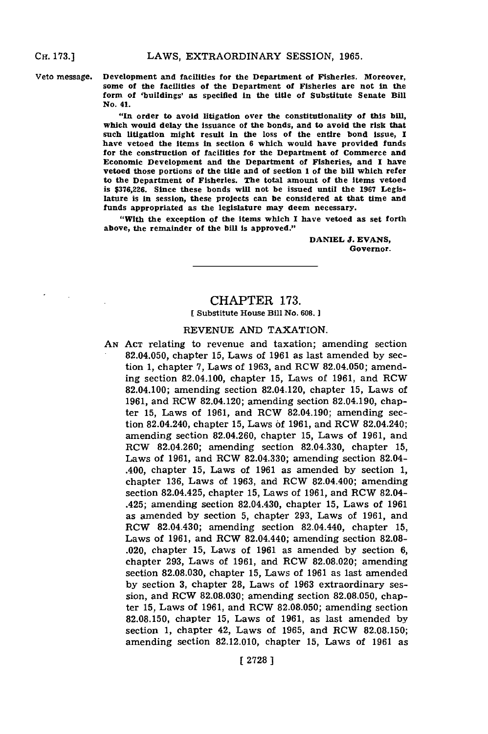**CH. 173.]**

**Veto message. Development and facilities for the Department of Fisheries. Moreover. some of the facilities of the Department of Fisheries are not in the form of 'buildings' as specified In the title of Substitute Senate Bill No. 41.**

> **"In order to avoid litigation over the constitutionality of this bill, which would delay the Issuance of the bonds, and to avoid the risk that such litigation might result In the loss of the entire bond Issue, I have vetoed the Items in section 6 which would have provided funds for the construction of facilities for the Department of Commerce and Economic Development and the Department of Fisheries, and I have vetoed those portions of the title and of section 1 of the bill which refer to the Department of Fisheries. The total amount of the Items vetoed is \$376,226. Since these bonds will not be issued until the 1967 Legislature is in session, these projects can be considered at that time and funds appropriated as the legislature may deem necessary.**

> **"With the exception of the items which I have vetoed as set forth above, the remainder of the bill is approved."**

> > **DANIEL J. EVANS, Governor.**

## CHAPTER **173.** [Substitute House **Bill No. 608.]**

### **REVENUE AND** TAXATION.

**AN ACT** relating to revenue and taxation; amending section 82.04.050, chapter **15,** Laws of **1961** as last amended **by** section **1,** chapter **7,** Laws of **1963,** and ROW 82.04.050; amending section 82.04.100, chapter **15,** Laws of **1961,** and ROW 82.04.100; amending section 82.04.120, chapter **15,** Laws of **1961,** and ROW 82.04.120; amending section 82.04.190, chapter **15,** Laws of **1961,** and ROW 82.04.190; amending section 82.04.240, chapter **15,** Laws **of 1961,** and ROW 82.04.240; amending section 82.04.260, chapter **15,** Laws of **1961,** and ROW 82.04.260; amending section **82.04.330,** chapter **15,** Laws of **1961,** and ROW 82.04.330; amending section 82.04- .400, chapter **15,** Laws of **1961** as amended **by** section **1,** chapter **136,** Laws of **1963,** and ROW 82.04.400; amending section 82.04.425, chapter **15,** Laws of **1961,** and ROW 82.04- .425; amending section 82.04.430, chapter **15,** Laws of **1961** as amended **by** section **5,** chapter **293,** Laws of **1961,** and ROW 82.04.430; amending section 82.04.440, chapter **15,** Laws of **1961,** and ROW 82.04.440; amending section **82.08-** .020, chapter **15,** Laws of **1961** as amended **by** section **6,** chapter **293,** Laws of **1961,** and ROW **82.08.020;** amending section **82.08.030,** chapter **15,** Laws of **1961** as last amended **by** section **3,** chapter **28,** Laws of **1963** extraordinary session, and ROW **82.08.030;** amending section **82.08.050,** chapter **15,** Laws of **1961,** and ROW **82.08.050;** amending section **82.08.150,** chapter **15,** Laws of **1961,** as last amended **by** section **1,** chapter 42, Laws of **1965,** and ROW **82.08.150;** amending section **82.12.010,** chapter **15,** Laws of **1961** as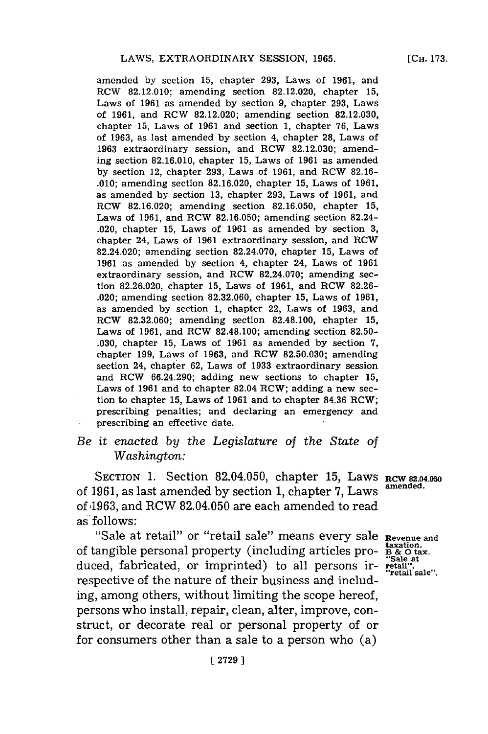amended **by** section **15,** chapter **293,** Laws of **1961,** and RCW **82.12.010;** amending section **82.12.020,** chapter **15,** Laws of **1961** as amended **by** section **9,** chapter **293,** Laws of **1961,** and ROW **82.12.020;** amending section **82.12.030,** chapter **15,** Laws of **1961** and section **1,** chapter **76,** Laws of **1963,** as last amended **by** section 4, chapter **28,** Laws of **1963** extraordinary session, and RCW **82.12.030;** amending section **82.16.010,** chapter **15,** Laws of **1961** as amended **by** section 12, chapter **293,** Laws of **1961,** and RCW **82.16- .010;** amending section **82.16.020,** chapter **15,** Laws of **1961,** as amended **by** section **13,** chapter **293,** Laws of **1961,** and ROW **82.16.020;** amending section **82.16.050,** chapter **15,** Laws of **1961,** and ROW **82.16.050;** amending section 82.24- .020, chapter **15,** Laws of **1961** as amended **by** section **3,** chapter 24, Laws of **1961** extraordinary session, and ROW 82.24.020; amending section **82.24.070,** chapter **15,** Laws of **1961** as amended **by** section 4, chapter 24, Laws of **1961** extraordinary session, and ROW **82.24.070;** amending section **82.26.020,** chapter **15,** Laws of **1961,** and ROW **82.26-** .020; amending section **82.32.060,** chapter **15,** Laws of **1961,** as amended **by** section **1,** chapter 22, Laws of **1963,** and ROW **82.32.060;** amending section **82.48.100,** chapter **15,** Laws of **1961,** and ROW **82.48.100;** amending section **82.50- .030,** chapter **15,** Laws of **1961** as amended **by** section **7,** chapter **199,** Laws of **1963,** and ROW **82.50.030;** amending section 24, chapter **62,** Laws of **1933** extraordinary session and ROW 66.24.290; adding new sections to chapter **15,** Laws of **1961** and to chapter 82.04 ROW; adding a new section to chapter **15,** Laws of **1961** and to chapter **84.36** ROW; prescribing penalties; and declaring an emergency and prescribing an effective date.

# *Be it enacted by the Legislature of the State of Washington:*

SECTION 1. Section 82.04.050, chapter 15, Laws **RCW 82.04.050** of **1961,** as last amended **by** section **1,** chapter **7,** Laws amended. of 1963, and RCW 82.04.050 are each amended to read as follows:

"Sale at retail" or "retail sale" means every sale Revenue and taxation. of tangible personal property (including articles pro- **1B &** o tax. duced, fabricated, or imprinted) to all persons ir-<br>respective of the nature of their business and includ-<br>retail sale ing, among others, without limiting the scope hereof, persons who install, repair, clean, alter, improve, construct, or decorate real or personal property of or for consumers other than a sale to a person who (a)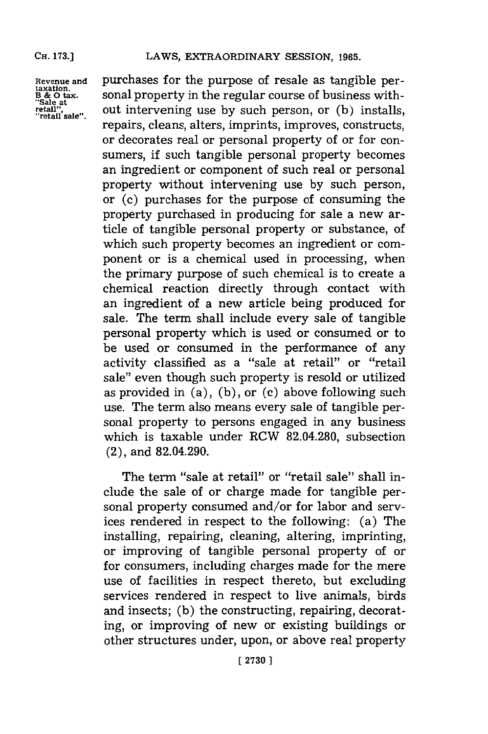### **CH. 173.]**

**"Sale at**

**Revenue and** purchases for the purpose of resale as tangible per-**B & 0 tax.** sonal property in the regular course of business with **retail'e",** out intervening use **by** such person, or **(b)** installs, repairs, cleans, alters, imprints, improves, constructs, or decorates real or personal property of or for consumers, if such tangible personal property becomes an ingredient or component of such real or personal property without intervening use **by** such person, or (c) purchases for the purpose of consuming the property purchased in producing for sale a new article of tangible personal property or substance, of which such property becomes an ingredient or component or is a chemical used in processing, when the primary purpose of such chemical is to create a chemical reaction directly through contact with an ingredient of a new article being produced for sale. The term shall include every sale of tangible personal property which is used or consumed or to be used or consumed in the performance of any activity classified as a "sale at retail" or "retail sale" even though such property is resold or utilized as provided in (a), **(b),** or **(c)** above following such use. The term also means every sale of tangible personal property to persons engaged in any business which is taxable under RCW **82.04.280,** subsection (2), and 82.04.290.

> The term "sale at retail" or "retail sale" shall include the sale of or charge made for tangible personal property consumed and/or for labor and services rendered in respect to the following: (a) The installing, repairing, cleaning, altering, imprinting, or improving of tangible personal property of or for consumers, including charges made for the mere use of facilities in respect thereto, but excluding services rendered in respect to live animals, birds and insects; **(b)** the constructing, repairing, decorating, or improving of new or existing buildings or other structures under, upon, or above real property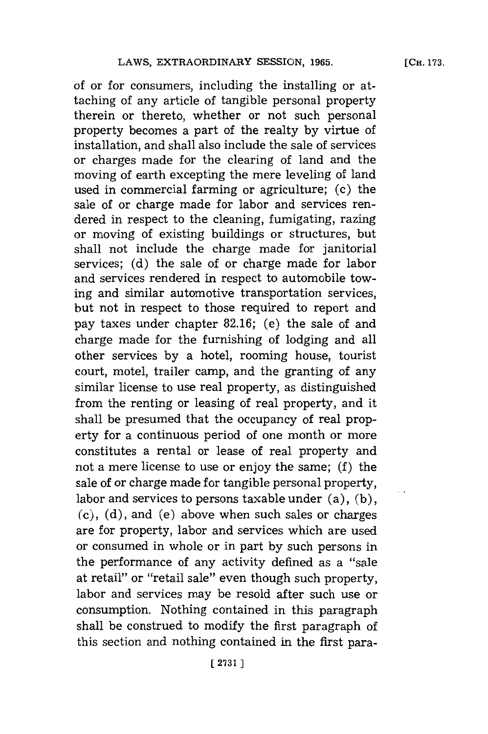of or for consumers, including the installing or attaching of any article of tangible personal property therein or thereto, whether or not such personal property becomes a part of the realty **by** virtue of installation, and shall also include the sale of services or charges made for the clearing of land and the moving of earth excepting the mere leveling of land used in commercial farming or agriculture; (c) the sale of or charge made for labor and services rendered in respect to the cleaning, fumigating, razing or moving of existing buildings or structures, but shall not include the charge made for janitorial services; **(d)** the sale of or charge made for labor and services rendered in respect to automobile towing and similar automotive transportation services, but not in respect to those required to report and pay taxes under chapter **82.16;** (e) the sale of and charge made for the furnishing of lodging and all other services **by** a hotel, rooming house, tourist court, motel, trailer camp, and the granting of any similar license to use real property, as distinguished from the renting or leasing of real property, and it shall be presumed that the occupancy of real property for a continuous period of one month or more constitutes a rental or lease of real property and not a mere license to use or enjoy the same; **(f)** the sale of or charge made for tangible personal property, labor and services to persons taxable under (a), **(b), (c), (d),** and (e) above when such sales or charges are for property, labor and services which are used or consumed in whole or in part **by** such persons in the performance of any activity defined as a "sale at retail" or "retail sale" even though such property, labor and services may be resold after such use or consumption. Nothing contained in this paragraph shall be construed to modify the first paragraph of

this section and nothing contained in the first para-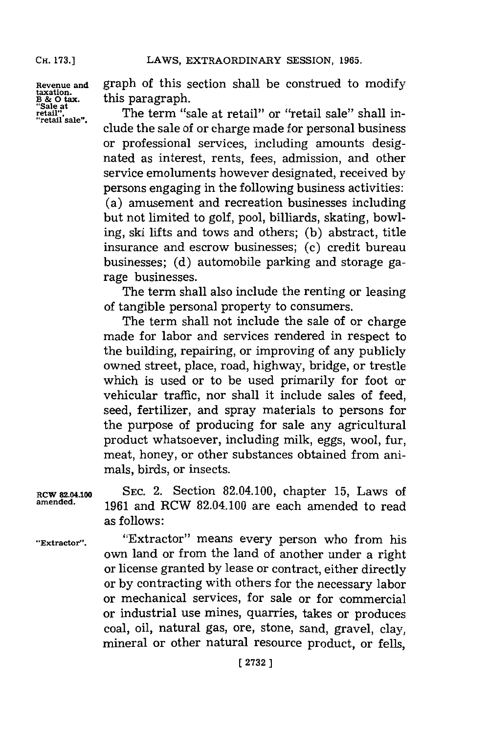**CH. 173.]**

**B & 0 tax.** this paragraph.<br>
"Sale at "<br>
retail". The term "s

Revenue and **graph of this section shall be construed to modify**<br>B & O tax. this paragraph.

retail", The term "sale at retail" or "retail sale" shall in-<br>"retail sale". clude the sale of or charge made for personal business or professional services, including amounts designated as interest, rents, fees, admission, and other service emoluments however designated, received **by** persons engaging in the following business activities: (a) amusement and recreation businesses including but not limited to golf, pool, billiards, skating, bowling, ski lifts and tows and others; **(b)** abstract, title insurance and escrow businesses; (c) credit bureau businesses; **(d)** automobile parking and storage garage businesses.

> The term shall also include the renting or leasing of tangible personal property to consumers.

> The term shall not include the sale of or charge made for labor and services rendered in respect to the building, repairing, or improving of any publicly owned street, place, road, highway, bridge, or trestle which is used or to be used primarily for foot or vehicular traffic, nor shall it include sales of feed, seed, fertilizer, and spray materials to persons for the purpose of producing for sale any agricultural product whatsoever, including milk, eggs, wool, fur, meat, honey, or other substances obtained from animals, birds, or insects.

RCW 82.04.100 SEC. 2. Section 82.04.100, chapter 15, Laws of **amended. 1961** and RCW 82.04.100 are each amended to read as follows:

**"Extractor".** "Extractor" means every person who from his own land or from the land of another under a right or license granted **by** lease or contract, either directly or **by** contracting with others for the necessary labor or mechanical services, for sale or for commercial or industrial use mines, quarries, takes or produces coal, oil, natural gas, ore, stone, sand, gravel, clay, mineral or other natural resource product, or fells,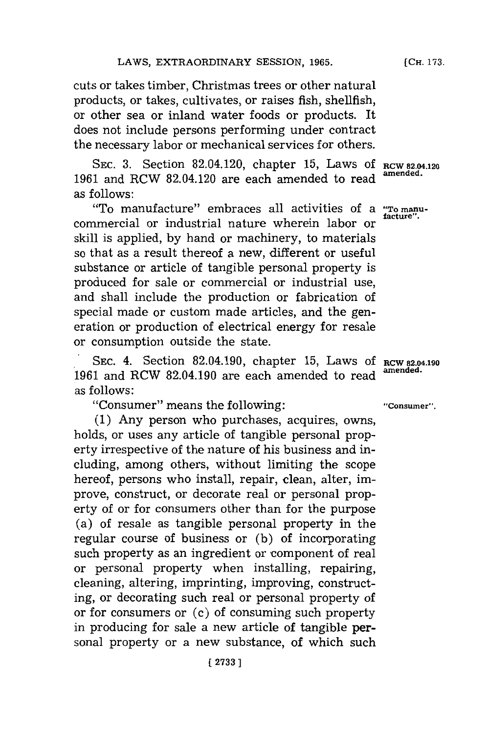cuts or takes timber, Christmas trees or other natural products, or takes, cultivates, or raises fish, shellfish, or other sea or inland water foods or products. It does not include persons performing under contract the necessary labor or mechanical services for others.

**SEC. 3.** Section 82.04.120, chapter **15,** Laws **Of RCW 82.04.120 1961** and RCW 82.04.120 are each amended to read **amended.** as follows:

"To manufacture" embraces all activities of a **"To manu**commercial or industrial nature wherein labor or s kill is applied, **by** hand or machinery, to materials so that as a result thereof a new, different or useful substance or article of tangible personal property is produced for sale or commercial or industrial use, and shall include the production or fabrication of special made or custom made articles, and the generation or production of electrical energy for resale or consumption outside the state.

**SEC.** 4. Section 82.04.190, chapter **15,** Laws **Of RCW 82.04.190** 1961 and RCW 82.04.190 are each amended to read as follows:

"Consumer" means the following: **"Consumer".**

**(1)** Any person who purchases, acquires, owns, holds, or uses any article of tangible personal property irrespective of the nature of his business and including, among others, without limiting the scope hereof, persons who install, repair, clean, alter, improve, construct, or decorate real or personal property of or for consumers other than for the purpose (a) of resale as tangible personal property in the regular course of business or **(b)** of incorporating such property as an ingredient or component of real or personal property when installing, repairing, cleaning, altering, imprinting, improving, constructing, or decorating such real or personal property of or for consumers or (c) of consuming such property in producing for sale a new article of tangible personal property or a new substance, of which such

**[CH. 173.**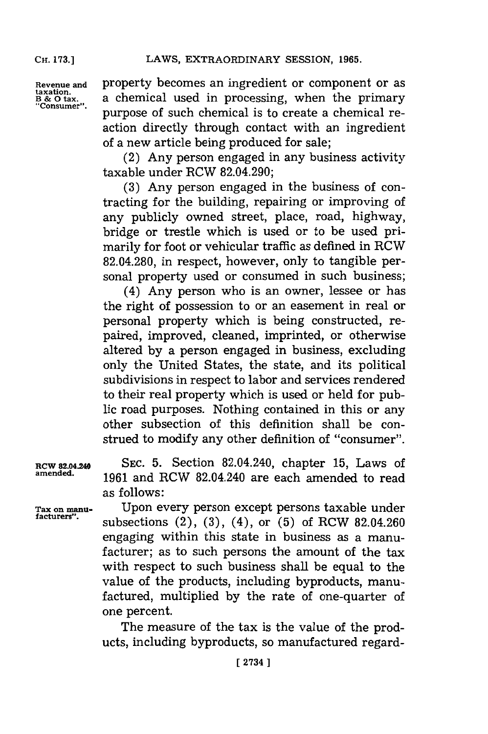**CH. 173.]**

taxation.<br>B & O tax.<br>"Consumer".

**Revenue and** property becomes an ingredient or component or as a chemical used in processing, when the primary purpose of such chemical is to create a chemical reaction directly through contact with an ingredient of a new article being produced for sale;

> (2) Any person engaged in any business activity taxable under RCW 82.04.290;

> **(3)** Any person engaged in the business of contracting for the building, repairing or improving of any publicly owned street, place, road, highway, bridge or trestle which is used or to be used primarily for foot or vehicular traffic as defined in RCW **82.04.280,** in respect, however, only to tangible personal property used or consumed in such business;

> (4) Any person who is an owner, lessee or has the right of possession to or an easement in real or personal property which is being constructed, repaired, improved, cleaned, imprinted, or otherwise altered **by** a person engaged in business, excluding only the United States, the state, and its political subdivisions in respect to labor and services rendered to their real property which is used or held for public road purposes. Nothing contained in this or any other subsection of this definition shall be construed to modify any other definition of "consumer"

**RCW 82.04.24 SEC. 5.** Section 82.04.240, chapter **15,** Laws of **amended. 1961** and RCW 82.04.240 are each amended to read as follows:

**Tax on manu-** Upon every person except persons taxable under **facturers".** subsections (2), **(3),** (4), or **(5)** of RCW 82.04.260 engaging within this state in business as a manufacturer; as to such persons the amount of the tax with respect to such business shall be equal to the value of the products, including byproducts, manufactured, multiplied **by** the rate of one-quarter of one percent.

> The measure of the tax is the value of the products, including byproducts, so manufactured regard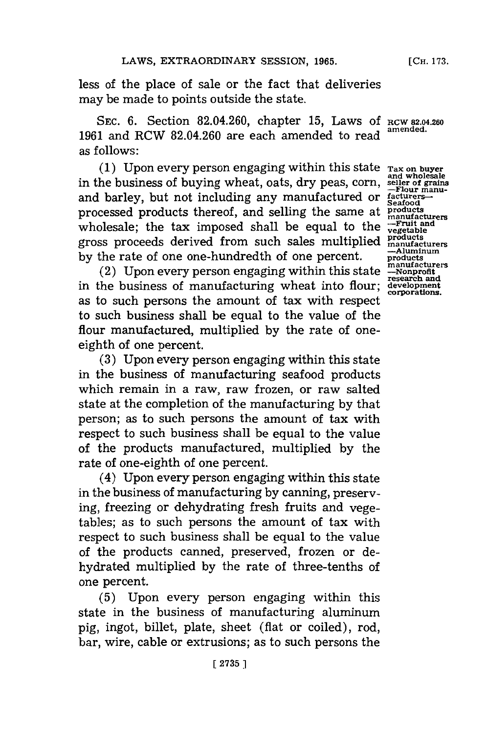less of the place of sale or the fact that deliveries may be made to points outside the state.

**SEC. 6.** Section 82.04.260, chapter **15,** Laws **Of RCW 82.04.260 <sup>1961</sup>**and RCW 82.04.260 are each amended to read **amended.** as follows:

(1) Upon every person engaging within this state  $T_{\text{ax on buyer}}$  and wholesale<br>in the business of buying wheat, oats, dry peas, corn, seller of grains and barley, but not including any manufactured or facturers<br>processed products thereof, and selling the same at products processed products thereof, and selling the same at **products**<br>wholesale: the tax imposed shall be equal to the *ruit* and wholesale; the tax imposed shall be equal to the  $\frac{F}{\text{cycle}}$ gross proceeds derived from such sales multiplied products<br>by the rate of one one-hundredth of one percent. **products**<br>manufacturers

(2) Upon every person engaging within this state **-Nonprofit** in the business of manufacturing wheat into flour; as to such persons the amount of tax with respect to such business shall be equal to the value of the flour manufactured, multiplied **by** the rate of oneeighth of one percent.

**(3)** Upon every person engaging within this state in the business of manufacturing seafood products which remain in a raw, raw frozen, or raw salted state at the completion of the manufacturing **by** that person; as to such persons the amount of tax with respect to such business shall be equal to the value of the products manufactured, multiplied **by** the rate of one-eighth of one percent.

(4) Upon every person engaging within this state in the business of manufacturing **by** canning, preserving, freezing or dehydrating fresh fruits and vegetables; as to such persons the amount of tax with respect to such business shall be equal to the value of the products canned, preserved, frozen or dehydrated multiplied **by** the rate of three-tenths of one percent.

**(5)** Upon every person engaging within this state in the business of manufacturing aluminum **pig,** ingot, billet, plate, sheet (flat or coiled), rod, bar, wire, cable or extrusions; as to such persons the

**research and**<br>development<br>corporations.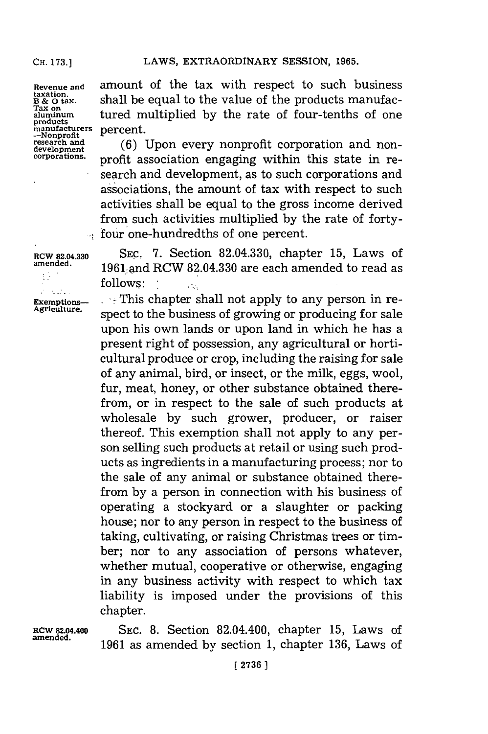### **CH. 173.1**

**Revenue and taxation.' B & 0 tax. Tax on aluminum products manufacturers -Nonprofit research and development corporations.**

÷

amount of the tax with respect to such business shall be equal to the value of the products manufactured multiplied **by** the rate of four-tenths of one percent.

**(6)** Upon every nonprofit corporation and nonprofit association engaging within this state in research and development, as to such corporations and associations, the amount of tax with respect to such activities shall be equal to the gross income derived from such activities multiplied **by** the rate of fortyfour one-hundredths of one percent.

**RW 82.04.330 SEC. 7.** Section **82.04.330,** chapter **15,** Laws of **amended.** 1961:and RCW **82.04.330** are each amended to read as **follows:**

**Exemptions-**  $\cdot$  This chapter shall not apply to any person in re-<br>Agriculture. spect to the business of growing or producing for sale upon his own lands or upon land in which he has a present right of possession, any agricultural or horticultural produce or crop, including the raising for sale of any animal, bird, or insect, or the milk, eggs, wool, fur, meat, honey, or other substance obtained therefrom, or in respect to the sale of such products at wholesale **by** such grower, producer, or raiser thereof. This exemption shall not apply to any person selling such products at retail or using such products as ingredients in a manufacturing process; nor to the sale of any animal or substance obtained therefrom **by** a person in connection with his business of operating a stockyard or a slaughter or packing house; nor to any person in respect to the business of taking, cultivating, or raising Christmas trees or timber; nor to any association of persons whatever, whether mutual, cooperative or otherwise, engaging in any business activity with respect to which tax liability is imposed under the provisions of this chapter.

**RCW 82.04.400 -amended.**

**SEC. 8.** Section 82.04.400, chapter **15,** Laws of **1961** as amended **by** section **1,** chapter **136,** Laws of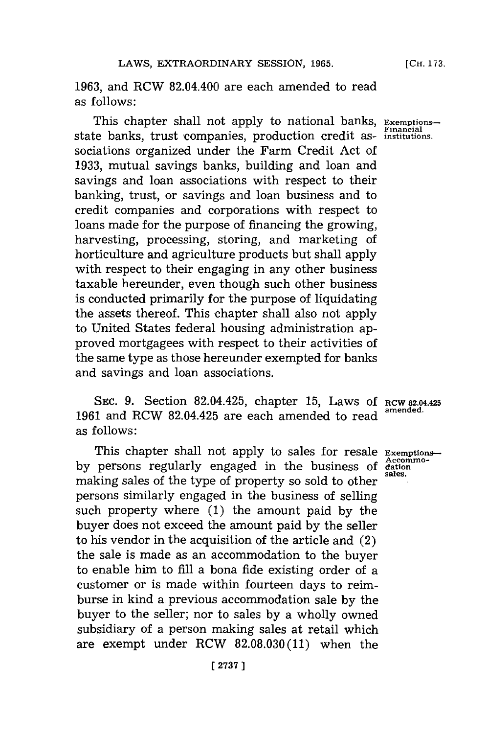**1963,** and RCW 82.04.400 are each amended to read as follows:

This chapter shall not apply to national banks, **Exemptions**state banks, trust companies, production credit as- **institutions.** sociations organized under the Farm Credit Act of **1933,** mutual savings banks, building and loan and savings and loan associations with respect to their banking, trust, or savings and loan business and to credit companies and corporations with respect to loans made for the purpose of financing the growing, harvesting, processing, storing, and marketing of horticulture and agriculture products but shall apply with respect to their engaging in any other business taxable hereunder, even though such other business is conducted primarily for the purpose of liquidating the assets thereof. This chapter shall also not apply to United States federal housing administration approved mortgagees with respect to their activities of the same type as those hereunder exempted for banks and savings and loan associations.

SEC. **9.** Section 82.04.425, chapter **15,** Laws **Of ROW 82.04.425 <sup>1961</sup>**and RCW 82.04.425 are each amended to read **amended.** as follows:

This chapter shall not apply to sales for resale **Exemptions** by persons regularly engaged in the business of dational sales. making sales of the type of property so sold to other persons similarly engaged in the business of selling such property where **(1)** the amount paid **by** the buyer does not exceed the amount paid **by** the seller to his vendor in the acquisition of the article and (2) the sale is made as an accommodation to the buyer to enable him to **fill** a bona fide existing order of a customer or is made within fourteen days to reimburse in kind a previous accommodation sale **by** the buyer to the seller; nor to sales **by** a wholly owned subsidiary of a person making sales at retail which are exempt under RCW **82.08.030(11)** when the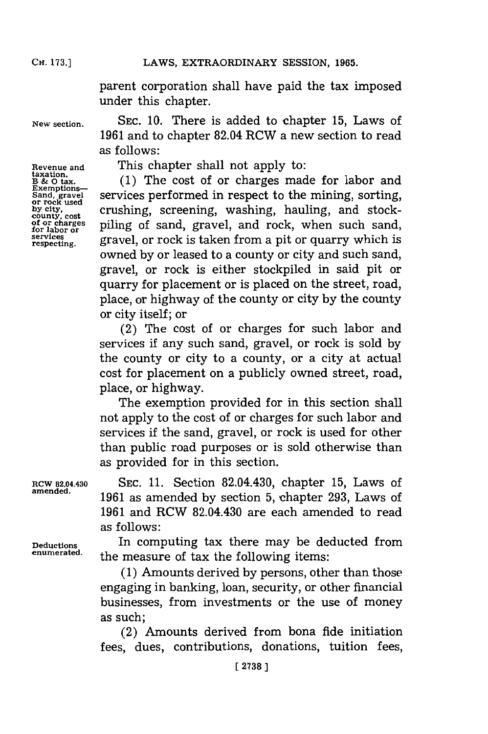**CH. 173.1**

parent corporation shall have paid the tax imposed under this chapter.

**taxation.**

**Exemptions-**

Exemptions<br>
Sand, gravel<br>
or rock used<br>
by city,<br>
county, cost<br>
of or charges<br> **contract** 

**New section. SEC. 10.** There is added to chapter **15,** Laws of **1961** and to chapter 82.04 RCW a new section to read as follows:

**Revenue and** This chapter shall not apply to:

**B & 0 tax. (1)** The cost of or charges made for labor and services performed in respect to the mining, sorting, crushing, screening, washing, hauling, and stockof or charges **piling** of sand, gravel, and rock, when such sand, for labor or **find**  $\frac{1}{2}$ services gravel, or rock is taken from a pit or quarry which is owned **by** or leased to a county or city and such sand, gravel, or rock is either stockpiled in said pit or quarry for placement or is placed on the street, road, place, or highway of the county or city **by** the county or city itself; or

> (2) The cost of or charges for such labor and services if any such sand, gravel, or rock is sold **by** the county or city to a county, or a city at actual cost for placement on a publicly owned street, road, place, or highway.

> The exemption provided for in this section shall not apply to the cost of or charges for such labor and services if the sand, gravel, or rock is used for other than public road purposes or is sold otherwise than as provided for in this section.

**RCW 82.04.430 SEC. 11.** Section 82.04.430, chapter **15,** Laws of amened. **1961** as amended **by** section **5,** chapter **293,** Laws of **1961** and RCW 82.04.430 are each amended to read as follows:

**Deductions** In computing tax there may be deducted from the measure of tax the following items:

> **(1)** Amounts derived **by** persons, other than those engaging in banking, loan, security, or other financial businesses, from investments or the use of money as such;

> (2) Amounts derived from bona fide initiation fees, dues, contributions, donations, tuition fees,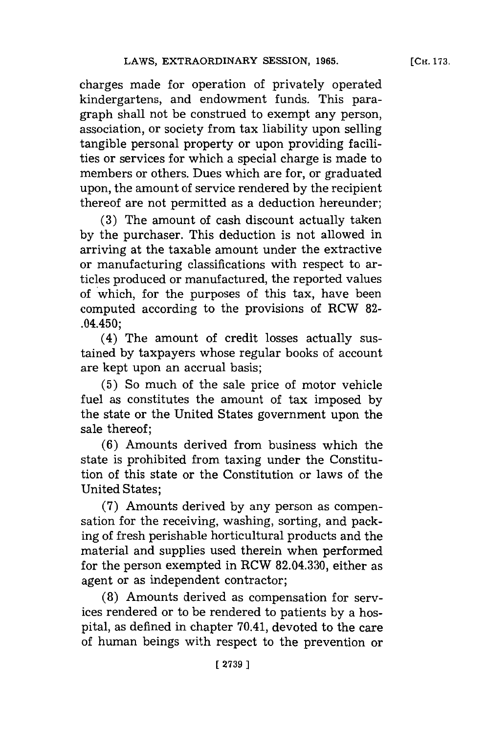charges made for operation of privately operated kindergartens, and endowment funds. This paragraph shall not be construed to exempt any person, association, or society from tax liability upon selling tangible personal property or upon providing facilities or services for which a special charge is made to members or others. Dues which are for, or graduated upon, the amount of service rendered **by** the recipient thereof are not permitted as a deduction hereunder;

**(3)** The amount of cash discount actually taken **by** the purchaser. This deduction is not allowed in arriving at the taxable amount under the extractive or manufacturing classifications with respect to articles produced or manufactured, the reported values of which, for the purposes of this tax, have been computed according to the provisions of RCW **82-** .04.450;

(4) The amount of credit losses actually sustained **by** taxpayers whose regular books of account are kept upon an accrual basis;

**(5)** So much of the sale price of motor vehicle fuel as constitutes the amount of tax imposed **by** the state or the United States government upon the sale thereof **;**

**(6)** Amounts derived from business which the state is prohibited from taxing under the Constitution of this state or the Constitution or laws of the United States;

**(7)** Amounts derived **by** any person as compensation for the receiving, washing, sorting, and packing of fresh perishable horticultural products and the material and supplies used therein when performed for the person exempted in RCW **82.04.330,** either as agent or as independent contractor;

(8) Amounts derived as compensation for services rendered or to be rendered to patients **by** a hospital, as defined in chapter 70.41, devoted to the care of human beings with respect to the prevention or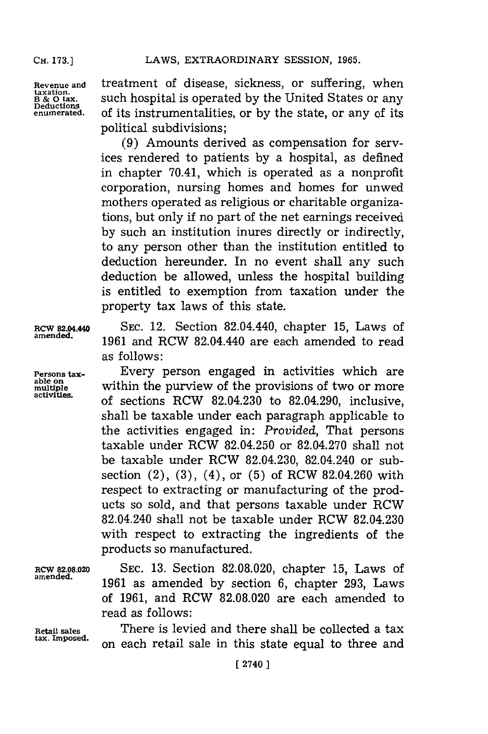Revenue and **treatment** of disease, sickness, or suffering, when laxation.<br> **B** & O tax. Such hospital is operated by the United States or any<br>
Deductions **B & 0 tax,** such hospital is operated by the United States or any  $Delta$  Deductions<br>Deductions<br>enumerated. Of its instrumentalities, or by the state, or any of its **enumerated,.** of its instrumentalities, or **by** the state, or any of its political subdivisions;

> **(9)** Amounts derived as compensation for services rendered to patients **by** a hospital, as defined in chapter 70.41, which is operated as a nonprofit corporation, nursing homes and homes for unwed mothers operated as religious or charitable organizations, but only **if** no part of the net earnings received **by** such an institution inures directly or indirectly, to any person other than the institution entitled to deduction hereunder. In no event shall any such deduction be allowed, unless the hospital building is entitled to exemption from taxation under the property tax laws of this state.

**RCW 82.04.M4 SEC.** 12. Section 82.04.440, chapter **15,** Laws of **amended. 1961** and RCW 82.04.440 are each amended to read as follows:

**Persons tax- Every person engaged in activities which are able on** within the purview of the provisions of two or more able on within the purview of the provisions of two or more activities. **activities,** of **sections** RCW 82.04.230 to 82.04.290, inclusive, shall be taxable under each paragraph applicable to the activities engaged in: *Provided,* That persons taxable under RCW 82.04.250 or **82.04.270** shall not be taxable under RCW 82.04.230, 82.04.240 or subsection (2), **(3),** (4), or **(5)** of RCW 82.04.260 with respect to extracting or manufacturing of the products so sold, and that persons taxable under RCW 82.04.240 shall not be taxable under RCW 82.04.230 with respect to extracting the ingredients of the products so manufactured.

**RCW 82.08.020 SEC. 13.** Section **82.08.020,** chapter **15,** Laws of amened. **1961** as amended **by** section **6,** chapter **293,** Laws of **1961,** and RCW **82.08.020** are each amended to read as follows:

**Retail sales** There is levied and there shall be collected a tax on each retail sale in this state equal to three and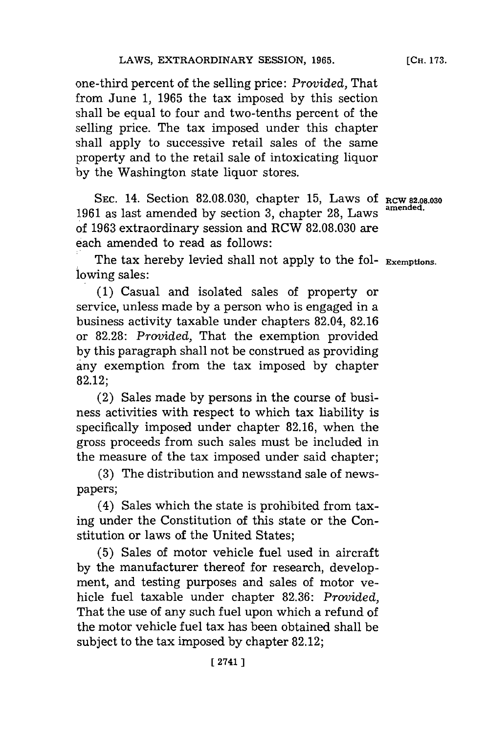one-third percent of the selling price: *Provided,* That from June **1, 1965** the tax imposed **by** this section shall be equal to four and two-tenths percent of the selling price. The tax imposed under this chapter shall apply to successive retail sales of the same property and to the retail sale of intoxicating liquor **by** the Washington state liquor stores.

SEC. 14. Section 82.08.030, chapter 15, Laws of RCW 82.08.030 **amended. <sup>1961</sup>**as last amended **by** section **3,** chapter **28,** Laws of **1963** extraordinary session and RCW **82.08.030** are each amended to read as follows:

The tax hereby levied shall not apply to the fol- Exemptions. lowing sales:

**(1)** Casual and isolated sales of property or service, unless made **by** a person who is engaged in a business activity taxable under chapters 82.04, **82.16 or 82.28:** *Provided,* That the exemption provided **by** this paragraph shall not be construed as providing any exemption from the tax imposed **by** chapter 82.12;

(2) Sales made **by** persons in the course of business activities with respect to which tax liability is specifically imposed under chapter **82.16,** when the gross proceeds from such sales must be included in the measure of the tax imposed under said chapter;

**(3)** The distribution and newsstand sale of newspapers;

(4) Sales which the state is prohibited from taxing under the Constitution of this state or the Constitution or laws of the United States;

**(5)** Sales of motor vehicle fuel used in aircraft **by** the manufacturer thereof for research, development, and testing purposes and sales of motor vehicle fuel taxable under chapter **82.36:** *Provided,* That the use of any such fuel upon which a refund of the motor vehicle fuel tax has been obtained shall be subject to the tax imposed **by** chapter **82.12;**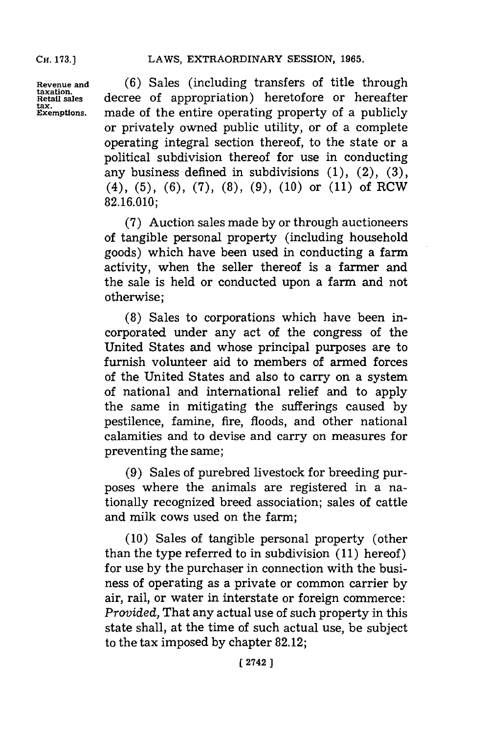**tax.**

**Revenue and (6)** Sales (including transfers of title through **taxation.** decree of appropriation) heretofore or hereafter made of the entire operating property of a publicly or privately owned public utility, or of a complete operating integral section thereof, to the state or a political subdivision thereof for use in conducting any business defined in subdivisions **(1),** (2), **(3),** (4), **(5), (6), (7), (8), (9), (10)** or **(11)** of RCW **82.16.010;**

> **(7)** Auction sales made **by** or through auctioneers of tangible personal property (including household goods) which have been used in conducting a farm activity, when the seller thereof is a farmer and the sale is held or conducted upon a farm and not otherwise;

> **(8)** Sales to corporations which have been incorporated under any act of the congress of the United States and whose principal purposes are to furnish volunteer aid to members of armed forces of the United States and also to carry on a system of national and international relief and to apply the same in mitigating the sufferings caused **by** pestilence, famine, fire, floods, and other national calamities and to devise and carry on measures for preventing the same;

> **(9)** Sales of purebred livestock for breeding purposes where the animals are registered in a nationally recognized breed association; sales of cattle and milk cows used on the farm;

> **(10)** Sales of tangible personal property (other than the type referred to in subdivision **(11)** hereof) for use **by** the purchaser in connection with the business of operating as a private or common carrier **by** air, rail, or water in interstate or foreign commerce: *Provided,* That any actual use of such property in this state shall, at the time of such actual use, be subject to the tax imposed **by** chapter **82.12;**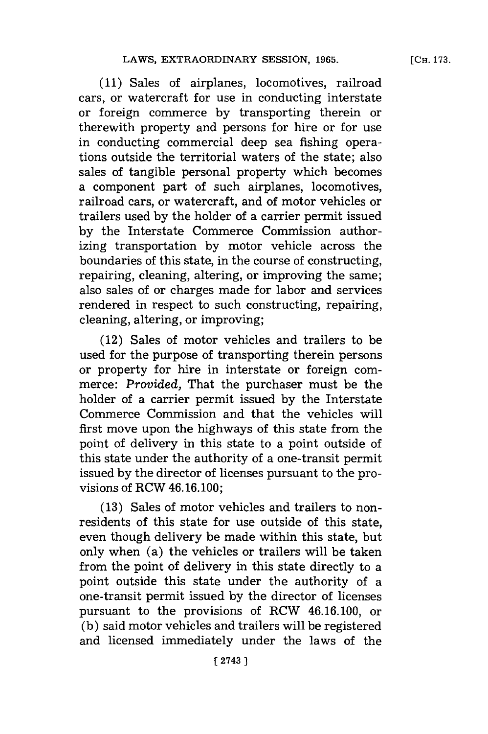**(11)** Sales of airplanes, locomotives, railroad cars, or watercraft for use in conducting interstate or foreign commerce **by** transporting therein or therewith property and persons for hire or for use in conducting commercial deep sea fishing operations outside the territorial waters of the state; also sales of tangible personal property which becomes a component part of such airplanes, locomotives, railroad cars, or watercraft, and of motor vehicles or trailers used **by** the holder of a carrier permit issued **by** the Interstate Commerce Commission authorizing transportation **by** motor vehicle across the boundaries of this state, in the course of constructing, repairing, cleaning, altering, or improving the same; also sales of or charges made for labor and services rendered in respect to such constructing, repairing, cleaning, altering, or improving;

(12) Sales of motor vehicles and trailers to be used for the purpose of transporting therein persons or property for hire in interstate or foreign commerce: *Provided,* That the purchaser must be the holder of a carrier permit issued **by** the Interstate Commerce Commission and that the vehicles will first move upon the highways of this state from the point of delivery in this state to a point outside of this state under the authority of a one-transit permit issued **by** the director of licenses pursuant to the provisions of RCW 46.16. **100;**

**(13)** Sales of motor vehicles and trailers to nonresidents of this state for use outside of this state, even though delivery be made within this state, but only when (a) the vehicles or trailers will be taken from the point of delivery in this state directly to a point outside this state under the authority of a one-transit permit issued **by** the director of licenses pursuant to the provisions of RCW 46.16.100, or **(b)** said motor vehicles and trailers will be registered and licensed immediately under the laws of the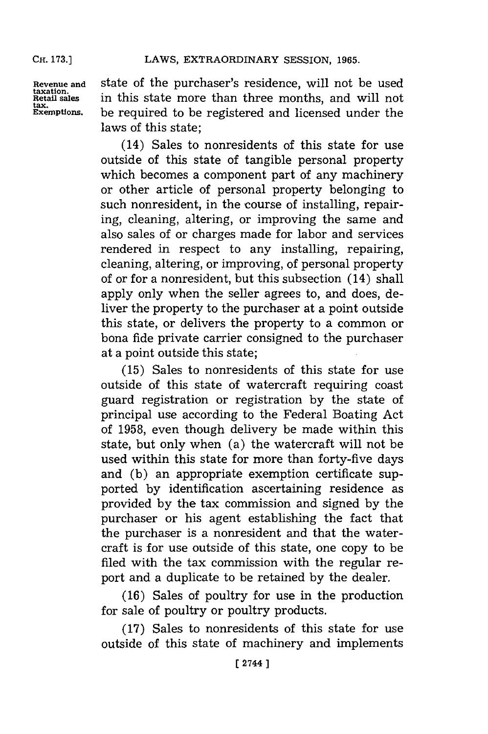**CH. 173.]**

**tax.**

**Revenue and** state of the purchaser's residence, will not be used **Retail sales** in this state more than three months, and will not **Exemptions,** be required to be registered and licensed under the laws of this state;

> (14) Sales to nonresidents of this state for use outside of this state of tangible personal property which becomes a component part of any machinery or other article of personal property belonging to such nonresident, in the course of installing, repairing, cleaning, altering, or improving the same and also sales of or charges made for labor and services rendered in respect to any installing, repairing, cleaning, altering, or improving, of personal property of or for a nonresident, but this subsection (14) shall apply only when the seller agrees to, and does, deliver the property to the purchaser at a point outside this state, or delivers the property to a common or bona fide private carrier consigned to the purchaser at a point outside this state;

> **(15)** Sales to nonresidents of this state for use outside of this state of watercraft requiring coast guard registration or registration **by** the state of principal use according to the Federal Boating Act of **1958,** even though delivery be made within this state, but only when (a) the watercraft will not be used within this state for more than forty-five days and **(b)** an appropriate exemption certificate supported **by** identification ascertaining residence as provided **by** the tax commission and signed **by** the purchaser or his agent establishing the fact that the purchaser is a nonresident and that the watercraft is for use outside of this state, one copy to be filed with the tax commission with the regular report and a duplicate to be retained **by** the dealer.

> **(16)** Sales of poultry for use in the production for sale of poultry or poultry products.

> **(17)** Sales to nonresidents of this state for use outside of this state of machinery and implements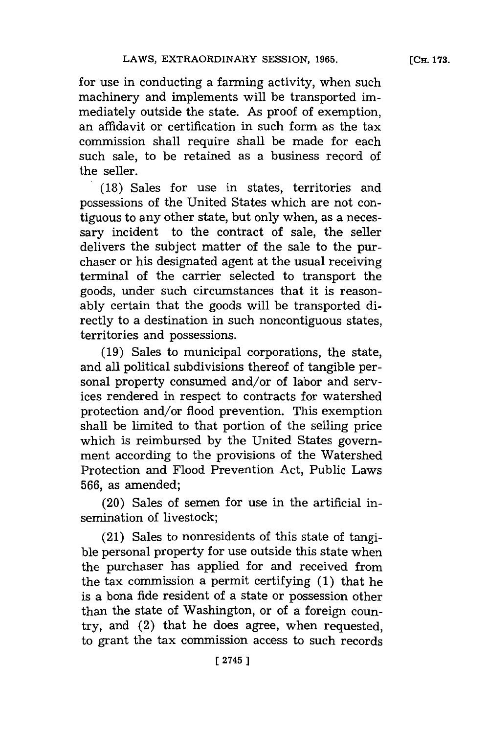mediately outside the state. As proof of exemption, an affidavit or certification in such form as the tax commission shall require shall be made for each such sale, to be retained as a business record of the seller.

**(18)** Sales for use in states, territories and possessions of the United States which are not contiguous to any other state, but only when, as a necessary incident to the contract of sale, the seller delivers the subject matter of the sale to the purchaser or his designated agent at the usual receiving terminal of the carrier selected to transport the goods, under such circumstances that it is reasonably certain that the goods will be transported directly to a destination in such noncontiguous states, territories and possessions.

**(19)** Sales to municipal corporations, the state, and all political subdivisions thereof of tangible personal property consumed and/or of labor and services rendered in respect to contracts for watershed protection and/or flood prevention. This exemption shall be limited to that portion of the selling price which is reimbursed **by** the United States government according to the provisions of the Watershed Protection and Flood Prevention Act, Public Laws **566,** as amended;

(20) Sales of semen for use in the artificial insemination of livestock;

(21) Sales to nonresidents of this state of tangible personal property for use outside this state when the purchaser has applied for and received from the tax commission a permit certifying **(1)** that he is a bona fide resident of a state or possession other than the state of Washington, or of a foreign country, and (2) that he does agree, when requested, to grant the tax commission access to such records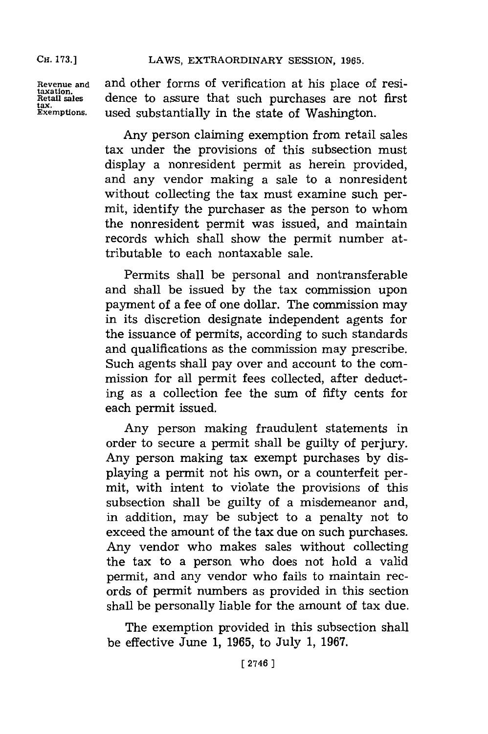tax.<br>Exemptions.

Revenue and and other forms of verification at his place of resitantion.<br>Retail sales dence to assure that such purchases are not first dence to assure that such purchases are not first used substantially in the state of Washington.

> Any person claiming exemption from retail sales tax under the provisions of this subsection must display a nonresident permit as herein provided, and any vendor making a sale to a nonresident without collecting the tax must examine such permit, identify the purchaser as the person to whom the nonresident permit was issued, and maintain records which shall show the permit number attributable to each nontaxable sale.

> Permits shall be personal and nontransferable and shall be issued **by** the tax commission upon payment of a fee of one dollar. The commission may in its discretion designate independent agents for the issuance of permits, according to such standards and qualifications as the commission may prescribe. Such agents shall pay over and account to the commission for all permit fees collected, after deducting as a collection fee the sum of fifty cents for each permit issued.

> Any person making fraudulent statements in order to secure a permit shall be guilty of perjury. Any person making tax exempt purchases **by** displaying a permit not his own, or a counterfeit permit, with intent to violate the provisions of this subsection shall be guilty of a misdemeanor and, in addition, may be subject to a penalty not to exceed the amount of the tax due on such purchases. Any vendor who makes sales without collecting the tax to a person who does not hold a valid permit, and any vendor who falls to maintain records of permit numbers as provided in this section shall be personally liable for the amount of tax due.

> The exemption provided in this subsection shall be effective June **1, 1965,** to July **1, 1967.**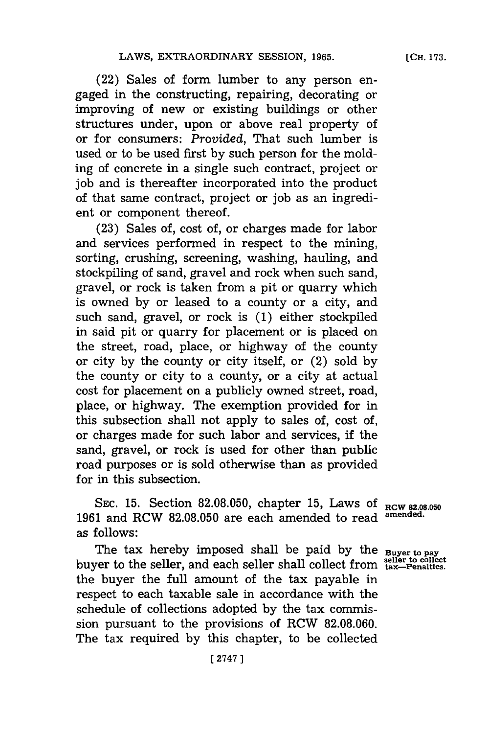(22) Sales of form lumber to any person engaged in the constructing, repairing, decorating or improving of new or existing buildings or other structures under, upon or above real property of or for consumers: *Provided,* That such lumber is used or to be used first **by** such person for the molding of concrete in a single such contract, project or **job** and is thereafter incorporated into the product of that same contract, project or **job** as an ingredient or component thereof.

**(23)** Sales of, cost of, or charges made for labor and services performed in respect to the mining, sorting, crushing, screening, washing, hauling, and stockpiling of sand, gravel and rock when such sand, gravel, or rock is taken from a pit or quarry which is owned **by** or leased to a county or a city, and such sand, gravel, or rock is **(1)** either stockpiled in said pit or quarry for placement or is placed on the street, road, place, or highway of the county or city **by** the county or city itself, or (2) sold **by** the county or city to a county, or a city at actual cost for placement on a publicly owned street, road, place, or highway. The exemption provided for in this subsection shall not apply to sales of, cost of, or charges made for such labor and services, **if** the sand, gravel, or rock is used for other than public road purposes or is sold otherwise than as provided for in this subsection.

SEC. 15. Section 82.08.050, chapter 15, Laws of RCW 82.08.050 **1961** and RCW **82.08.050** are each amended to read **amended.** as follows:

The tax hereby imposed shall be paid by the **Buyer to pay** buyer to the seller, and each seller shall collect from **tax-Penalties**. the buyer the full amount of the tax payable in respect to each taxable sale in accordance with the schedule of collections adopted **by** the tax commission pursuant to the provisions of RCW **82.08.060.** The tax required **by** this chapter, to be collected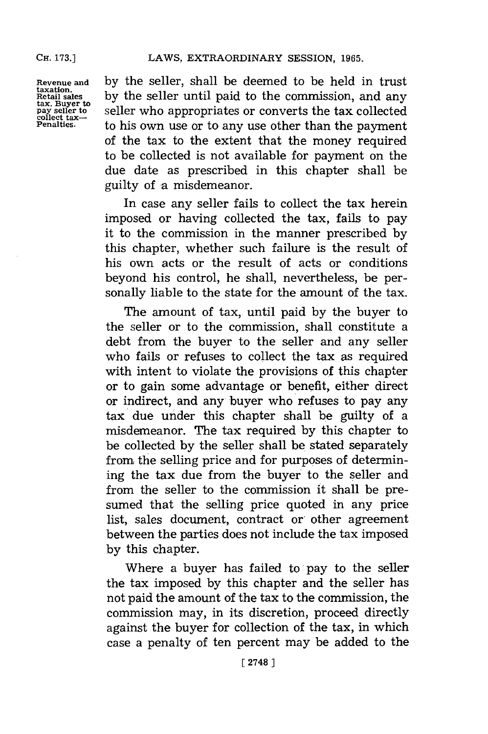**taxation. collect tax-**

**Revenue and by** the seller, shall be deemed to be held in trust by the seller until paid to the commission, and any seller who appropriates or converts the tax collected to his own use or to any use other than the payment of the tax to the extent that the money required to be collected is not available for payment on the due date as prescribed in this chapter shall be guilty of a misdemeanor.

> In case any seller fails to collect the tax herein imposed or having collected the tax, fails to pay it to the commission in the manner prescribed **by** this chapter, whether such failure is the result of his own acts or the result of acts or conditions beyond his control, he shall, nevertheless, be personally liable to the state for the amount of the tax.

> The amount of tax, until paid **by** the buyer to the seller or to the commission, shall constitute a debt from the buyer to the seller and any seller who fails or refuses to collect the tax as required with intent to violate the provisions of this chapter or to gain some advantage or benefit, either direct or indirect, and any buyer who refuses to pay any tax due under this chapter shall be guilty of a misdemeanor. The tax required **by** this chapter to be collected **by** the seller shall be stated separately from the selling price and for purposes of determining the tax due from the buyer to the seller and from the seller to the commission it shall be presumed that the selling price quoted in any price list, sales document, contract or' other agreement between the parties does not include the tax imposed **by** this chapter.

> Where a buyer has failed to pay to the seller the tax imposed **by** this chapter and the seller has not paid the amount of the tax to the commission, the commission may, in its discretion, proceed directly against the buyer for collection of the tax, in which case a penalty of ten percent may be added to the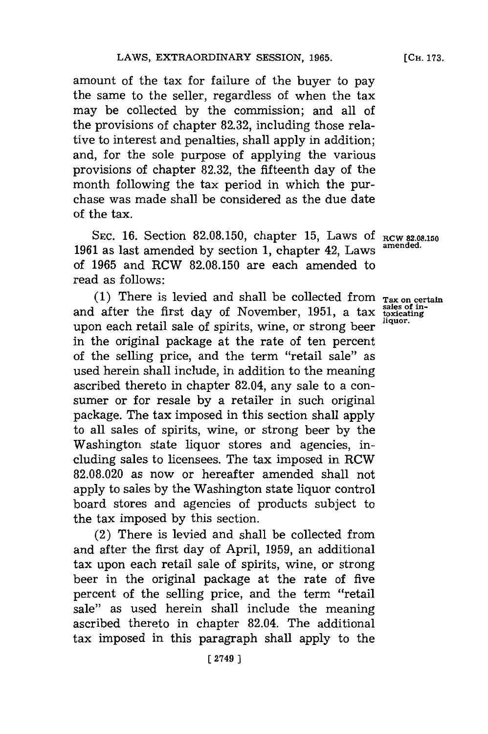amount of the tax for failure of the buyer to pay the same to the seller, regardless of when the tax may be collected **by** the commission; and all of the provisions of chapter **82.32,** including those relative to interest and penalties, shall apply in addition; and, for the sole purpose of applying the various provisions of chapter **82.32,** the fifteenth day of the month following the tax period in which the purchase was made shall be considered as the due date of the tax.

**SEC. 16.** Section **82.08.150,** chapter **15,** Laws **Of RCW 82.08.150 amended. <sup>1961</sup>**as last amended **by** section **1,** chapter 42, Laws of **1965** and RCW **82.08.150** are each amended to read as follows:

(1) There is levied and shall be collected from  $_{\text{Tax on certain}}$  after the first day of November, 1951, a tax soxicating and after the first day of November, 1951, a tax sales of liquor. upon each retail sale of spirits, wine, or strong beer in the original package at the rate of ten percent of the selling price, and the term "retail sale" as used herein shall include, in addition to the meaning ascribed thereto in chapter 82.04, any sale to a consumer or for resale **by** a retailer in such original package. The tax imposed in this section shall apply to all sales of spirits, wine, or strong beer **by** the Washington state liquor stores and agencies, including sales to licensees. The tax imposed in RCW **82.08.020** as now or hereafter amended shall not apply to sales **by** the Washington state liquor control board stores and agencies of products subject to the tax imposed **by** this section.

(2) There is levied and shall be collected from and after the first day of April, **1959,** an additional tax upon each retail sale of spirits, wine, or strong beer in the original package at the rate of five percent of the selling price, and the term "retail sale" as used herein shall include the meaning ascribed thereto in chapter 82.04. The additional tax imposed in this paragraph shall apply to the

**[CH. 173.**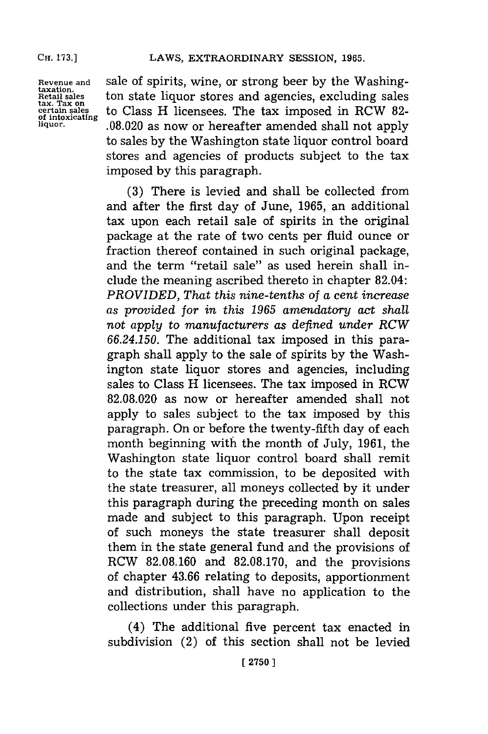Revenue and **Sale of spirits, wine, or strong beer by the Washing-**<br>
Retail sales ton state liquor stores and agencies, excluding sales<br>
tax. Tax on<br>
the Class H licensees. The tax imposed in RCW 82ton state liquor stores and agencies, excluding sales tax. Tax on<br>
of intoxicating<br> **the Class H licensees. The tax imposed in RCW 82-**<br> **the interval of the Class now or hereafter amended shall not annly of intoxicating liquor. .08.020** as now or hereafter amended shall not apply to sales **by** the Washington state liquor control board stores and agencies of products subject to the tax imposed **by** this paragraph.

> **(3)** There is levied and shall be collected from and after the first day of June, **1965,** an additional tax upon each retail sale of spirits in the original package at the rate of two cents per fluid ounce or fraction thereof contained in such original package, and the term "retail sale" as used herein shall include the meaning ascribed thereto in chapter 82.04: *PROVIDED, That this nine-tenths of a cent increase as provided for in this 1965 amendatory act shall not apply* to *manufacturers as defined under RCW 66.24.150.* The additional tax imposed in this paragraph shall apply to the sale of spirits **by** the Washington state liquor stores and agencies, including sales to Class H licensees. The tax imposed in RCW **82.08.020** as now or hereafter amended shall not apply to sales subject to the tax imposed **by** this paragraph. On or before the twenty-fifth day of each month beginning with the month of July, **1961,** the Washington state liquor control board shall remit to the state tax commission, to be deposited with the state treasurer, all moneys collected **by** it under this paragraph during the preceding month on sales made and subject to this paragraph. Upon receipt of such moneys the state treasurer shall deposit them in the state general fund and the provisions of RCW **82.08.160** and **82.08.170,** and the provisions of chapter **43.66** relating to deposits, apportionment and distribution, shall have no application to the collections under this paragraph.

> (4) The additional five percent tax enacted in subdivision (2) of this section shall not be levied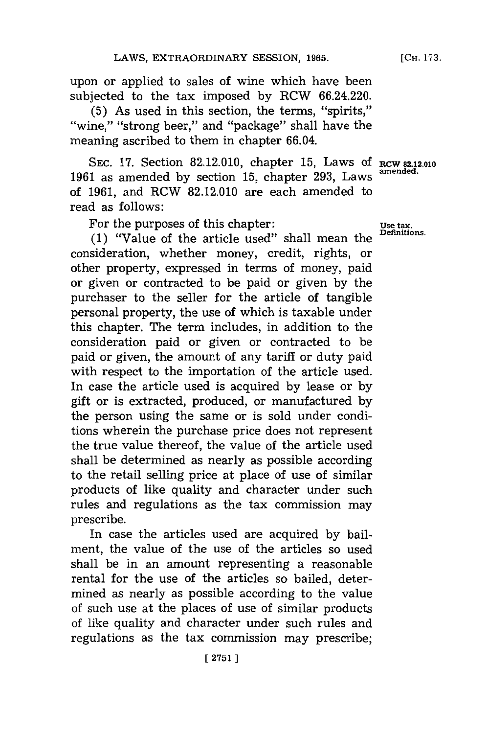upon or applied to sales of wine which have been subjected to the tax imposed **by** RCW 66.24.220.

(5) As used in this section, the terms, "spirits," "wine," "strong beer," and "package" shall have the meaning ascribed to them in chapter 66.04.

**SEC. 17.** Section **82.12.010,** chapter **15,** Laws **Of RCW 82.12.010 1961** as amended **by** section **15,** chapter **293,** Laws **amended.** of **1961,** and RCW **82.12.010** are each amended to read as follows:

For the purposes of this chapter:<br>
<u>Use tax.</u><br>
Definitions

(1) "Value of the article used" shall mean the consideration, whether money, credit, rights, or other property, expressed in terms of money, paid or given or contracted to be paid or given **by** the purchaser to the seller for the article of tangible personal property, the use of which is taxable under this chapter. The term includes, in addition to the consideration paid or given or contracted to be paid or given, the amount of any tariff or duty paid with respect to the importation of the article used. In case the article used is acquired **by** lease or **by** gift or is extracted, produced, or manufactured **by** the person using the same or is sold under conditions wherein the purchase price does not represent the true value thereof, the value of the article used shall be determined as nearly as possible according to the retail selling price at place of use of similar products of like quality and character under such rules and regulations as the tax commission may prescribe.

In case the articles used are acquired **by** bailment, the value of the use of the articles so used shall be in an amount representing a reasonable rental for the use of the articles so bailed, determined as nearly as possible according to the value of such use at the places of use of similar products of like quality and character under such rules and regulations as the tax commission may prescribe;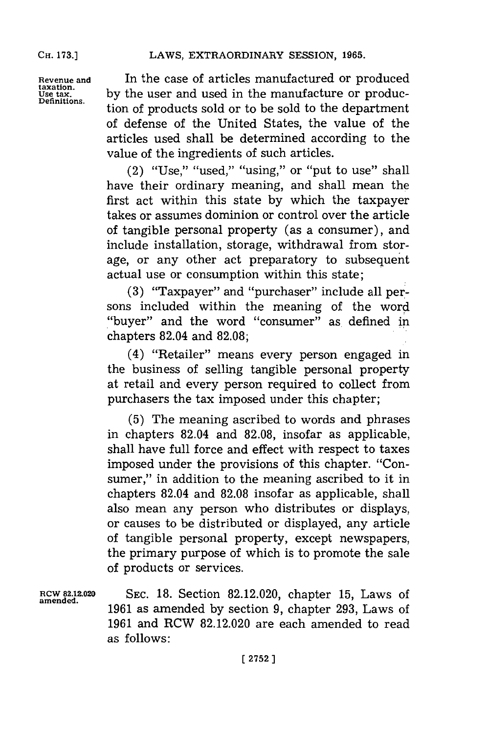**Revenue and In the case of articles manufactured or produced taxation.**<br> **Exation.** In the user and used in the manufacture or produc-**USE TO BE 12**<br>Use tax, by the user and used in the manufacture or produc-<br>Definitions. tion of products sold or to be sold to the department of defense of the United States, the value of the articles used shall be determined according to the value of the ingredients of such articles.

> (2) "Use," "used," "using," or "put to use" shall have their ordinary meaning, and shall mean the first act within this state **by** which the taxpayer takes or assumes dominion or control over the article of tangible personal property (as a consumer), and include installation, storage, withdrawal from storage, or any other act preparatory to subsequent actual use or consumption within this state;

> **(3)** "Taxpayer" and "purchaser" include all persons included within the meaning of the word "buyer" and the word "consumer" as defined in chapters 82.04 and **82.08;**

> (4) "Retailer" means every person engaged in the business of selling tangible personal property at retail and every person required to collect from purchasers the tax imposed under this chapter;

> **(5)** The meaning ascribed to words and phrases in chapters 82.04 and **82.08,** insofar as applicable, shall have full force and effect with respect to taxes imposed under the provisions of this chapter. "Consumer," in addition to the meaning ascribed to it in chapters 82.04 and **82.08** insofar as applicable, shall also mean any person who distributes or displays, or causes to be distributed or displayed, any article of tangible personal property, except newspapers, the primary purpose of which is to promote the sale of products or services.

**amended.**

**ROW 82.12.020 SEC. 18.** Section **82.12.020,** chapter **15,** Laws of **1961** as amended **by** section **9,** chapter **293,** Laws of **1961** and RCW **82.12.020** are each amended to read as follows: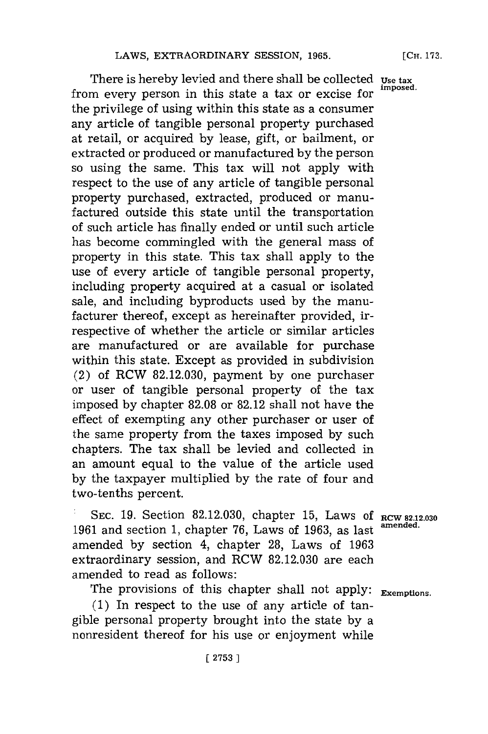There is hereby levied and there shall be collected **Use tax** from every person in this state a tax or excise for the privilege of using within this state as a consumer any article of tangible personal property purchased at retail, or acquired **by** lease, gift, or bailment, or extracted or produced or manufactured **by** the person so using the same. This tax will not apply with respect to the use of any article of tangible personal property purchased, extracted, produced or manufactured outside this state until the transportation of such article has finally ended or until such article has become commingled with the general mass of property in this state. This tax shall apply to the use of every article of tangible personal property, including property acquired at a casual or isolated sale, and including byproducts used **by** the manufacturer thereof, except as hereinafter provided, irrespective of whether the article or similar articles are manufactured or are available for purchase within this state. Except as provided in subdivision (2) of RCW **82.12.030,** payment **by** one purchaser or user of tangible personal property of the tax imposed **by** chapter **82.08** or **82.12** shall not have the effect of exempting any other purchaser or user of the same property from the taxes imposed **by** such chapters. The tax shall be levied and collected in an amount equal to the value of the article used **by** the taxpayer multiplied **by** the rate of four and two-tenths percent.

rCH. **173.**

**:SEC. 19.** Section **82.12.030,** chapter **15,** Laws **Of RCW 82.12.030** 1961 and section 1, chapter 76, Laws of 1963, as last <sup>amended</sup> amended **by** section 4, chapter **28,** Laws of **1963** extraordinary session, and RCW **82.12.030** are each amended to read as follows:

The provisions of this chapter shall not apply: **Exemptions.** 

**(1)** In respect to the use of any article of tangible personal property brought into the state **by** a nonresident thereof for his use or enjoyment while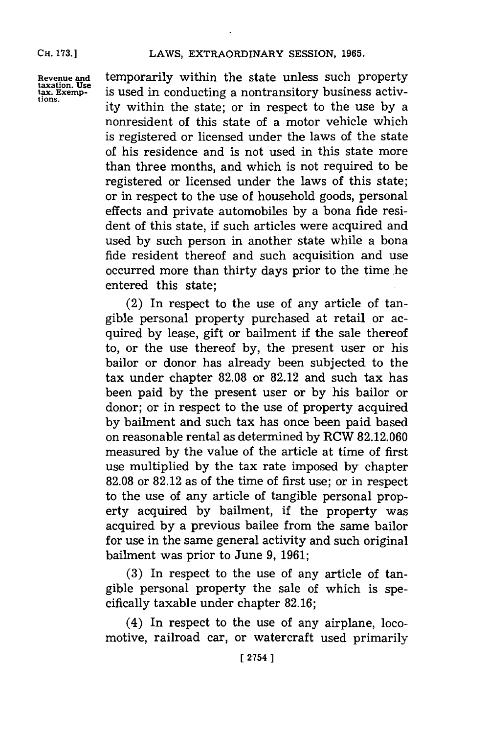**Revenue and temporarily within the state unless such property** taxation. Use<br>taxation. User is used in conducting a nontransitory business activtaxauon. Use<br>tax. Exemp- is used in conducting a nontransitory business activity within the state; or in respect to the use by a nonresident of this state of a motor vehicle which is registered or licensed under the laws of the state of his residence and is not used in this state more than three months, and which is not required to be registered or licensed under the laws of this state; or in respect to the use of household goods, personal effects and private automobiles **by** a bona fide resident of this state, **if** such articles were acquired and used **by** such person in another state while a bona fide resident thereof and such acquisition and use occurred more than thirty days prior to the time he entered this state;

> (2) In respect to the use of any article of tangible personal property purchased at retail or acquired **by** lease, gift or bailment **if** the sale thereof to, or the use thereof **by,** the present user or his bailor or donor has already been subjected to the tax under chapter **82.08** or **82.12** and such tax has been paid **by** the present user or **by** his bailor or donor; or in respect to the use of property acquired **by** bailment and such tax has once been paid based on reasonable rental as determined **by** RCW **82.12.060** measured **by** the value of the article at time of first use multiplied **by** the tax rate imposed **by** chapter **82.08** or **82.12** as of the time of first use; or in respect to the use of any article of tangible personal property acquired **by** bailment, if the property was acquired **by** a previous bailee from the same bailor for use in the same general activity and such original bailment was prior to June **9, 1961;**

> **(3)** In respect to the use of any article of tangible personal property the sale of which is specifically taxable under chapter **82.16;**

> (4) In respect to the use of any airplane, locomotive, railroad car, or watercraft used primarily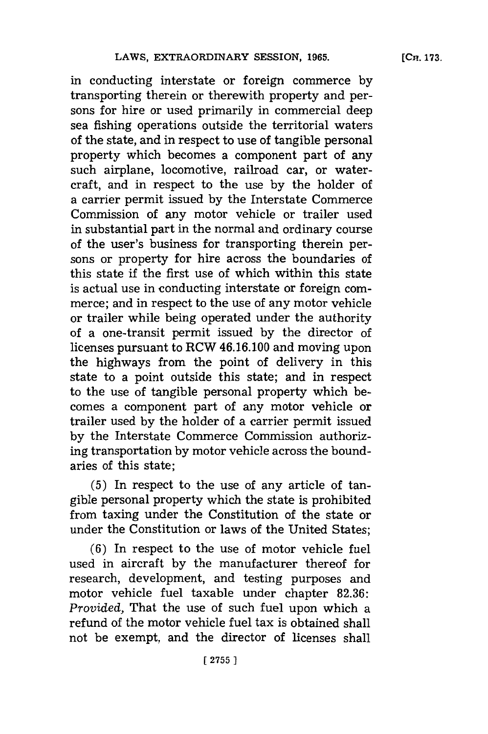in conducting interstate or foreign commerce **by** transporting therein or therewith property and persons for hire or used primarily in commercial deep sea fishing operations outside the territorial waters of the state, and in respect to use of tangible personal property which becomes a component part of any such airplane, locomotive, railroad car, or watercraft, and in respect to the use **by** the holder of a carrier permit issued **by** the Interstate Commerce Commission of any motor vehicle or trailer used in substantial part in the normal and ordinary course of the user's business for transporting therein persons or property for hire across the boundaries of this state **if** the first use of which within this state is actual use in conducting interstate or foreign commerce; and in respect to the use of any motor vehicle or trailer while being operated under the authority of a one-transit permit issued **by** the director of licenses pursuant to RCW 46.16. 100 and moving upon the highways from the point of delivery in this state to a point outside this state; and in respect to the use of tangible personal property which becomes a component part of any motor vehicle or trailer used **by** the holder of a carrier permit issued **by** the Interstate Commerce Commission authorizing transportation **by** motor vehicle across the boundaries of this state;

**(5)** In respect to the use of any article of tangible personal property which the state is prohibited from taxing under the Constitution of the state or under the Constitution or laws of the United States;

**(6)** In respect to the use of motor vehicle fuel used in aircraft **by** the manufacturer thereof for research, development, and testing purposes and motor vehicle fuel taxable under chapter **82.36:** *Provided,* That the use of such fuel upon which a refund of the motor vehicle fuel tax is obtained shall not be exempt, and the director of licenses shall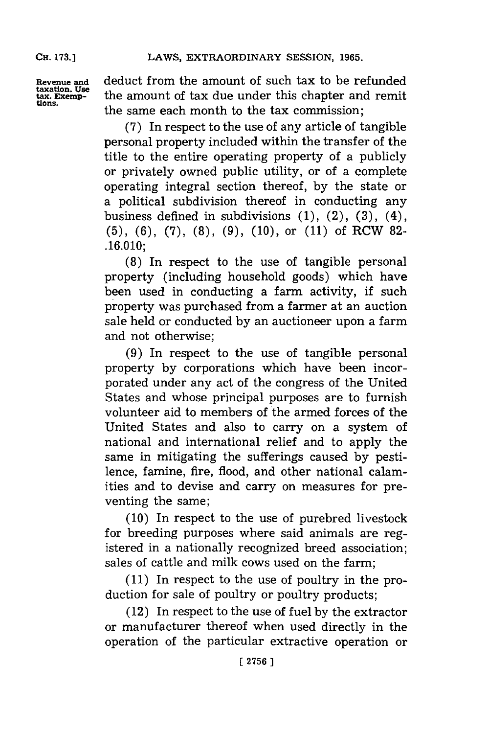**taxation. Use**

deduct from the amount of such tax to be refunded tax. Exemption. Use the amount of tax due under this chapter and remit<br>tions. the same each month to the tax commission;

> **(7)** In respect to the use of any article of tangible personal property included within the transfer of the title to the entire operating property of a publicly or privately owned public utility, or of a complete operating integral section thereof, **by** the state or a political subdivision thereof in conducting any business defined in subdivisions **(1),** (2), **(3),** (4), **(5), (6), (7), (8), (9), (10),** or **(11)** of RCW **82- .16.010;**

> **(8)** In respect to the use of tangible personal property (including household goods) which have been used in conducting a farm activity, if such property was purchased from a farmer at an auction sale held or conducted **by** an auctioneer upon a farm and not otherwise;

> **(9)** In respect to the use of tangible personal property **by** corporations which have been incorporated under any act of the congress of the United States and whose principal purposes are to furnish volunteer aid to members of the armed forces of the United States and also to carry on a system of national and international relief and to apply the same in mitigating the sufferings caused **by** pestilence, famine, fire, flood, and other national calamities and to devise and carry on measures for preventing the same;

> **(10)** In respect to the use of purebred livestock for breeding purposes where said animals are registered in a nationally recognized breed association; sales of cattle and milk cows used on the farm;

> **(11)** In respect to the use of poultry in the production for sale of poultry or poultry products;

> (12) In respect to the use of fuel **by** the extractor or manufacturer thereof when used directly in the operation of the particular extractive operation or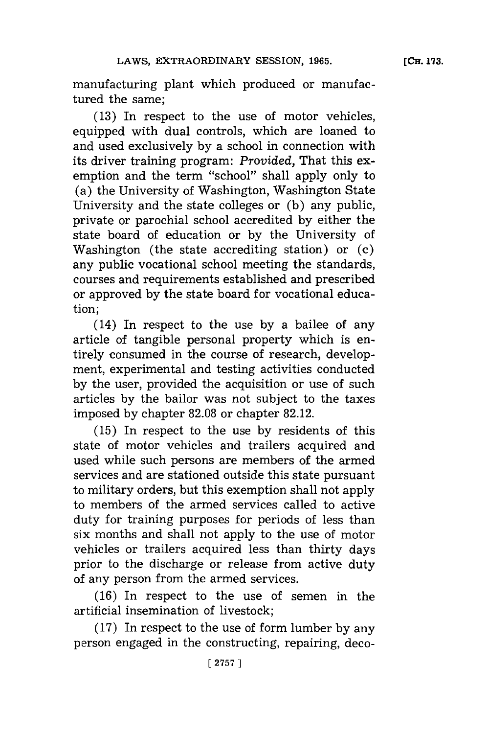manufacturing plant which produced or manufactured the same;

**(13)** In respect to the use of motor vehicles, equipped with dual controls, which are loaned to and used exclusively **by** a school in connection with its driver training program: *Provided,* That this exemption and the term "school" shall apply only to (a) the University of Washington, Washington State University and the state colleges or **(b)** any public, private or parochial school accredited **by** either the state board of education or **by** the University of Washington (the state accrediting station) or **(c)** any public vocational school meeting the standards, courses and requirements established and prescribed or approved **by** the state board **for** vocational education;

(14) In respect to the use **by** a bailee of any article of tangible personal property which is entirely consumed in the course of research, development, experimental and testing activities conducted **by** the user, provided the acquisition or use of such articles **by** the bailor was not subject to the taxes imposed **by** chapter **82.08** or chapter **82.12.**

**(15)** In respect to the use **by** residents of this state of motor vehicles and trailers acquired and used while such persons are members of the armed services and are stationed outside this state pursuant to military orders, but this exemption shall not apply to members of the armed services called to active duty for training purposes for periods of less than six months and shall not apply to the use of motor vehicles or trailers acquired less than thirty days prior to the discharge or release from active duty of any person from the armed services.

**(16)** In respect to the use of semen in the artificial insemination of livestock;

**(17)** In respect to the use of form lumber **by** any person engaged in the constructing, repairing, deco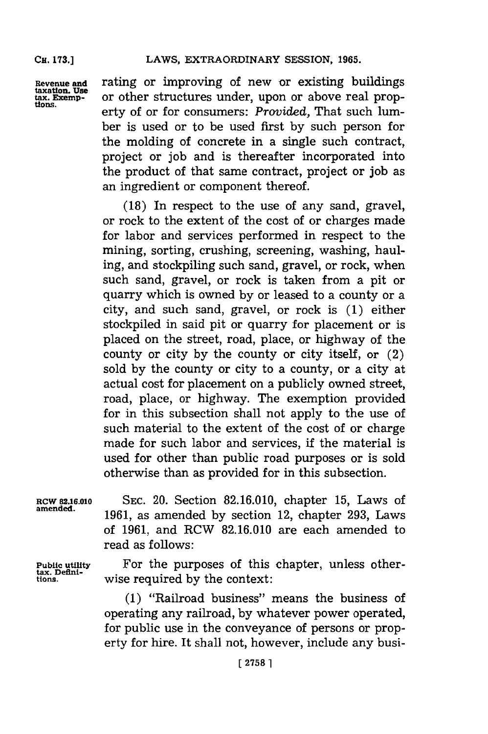**CH. 173.]**

**Revenue and** rating or improving **of** new or existing buildings **taxation. Use** taxation, Use<br>tax. Exemp- or other structures under, upon or above real prop-<br>tions erty of or for consumers: *Provided*, That such lumber is used or to be used first **by** such person for the molding of concrete in a single such contract, project or **job** and is thereafter incorporated into the product of that same contract, project or **job** as an ingredient or component thereof.

> **(18)** In respect to the use of any sand, gravel, or rock to the extent of the cost of or charges made for labor and services performed in respect to the mining, sorting, crushing, screening, washing, hauling, and stockpiling such sand, gravel, or rock, when such sand, gravel, or rock is taken from a pit or quarry which is owned **by** or leased to a county or a city, and such sand, gravel, or rock is **(1)** either stockpiled in said pit or quarry for placement or is placed on the street, road, place, or highway of the county or city **by** the county or city itself, or (2) sold **by** the county or city to a county, or a city at actual cost for placement on a publicly owned street, road, place, or highway. The exemption provided for in this subsection shall not apply to the use of such material to the extent of the cost of or charge made for such labor and services, if the material is used for other than public road purposes or is sold otherwise than as provided **for** in this subsection.

Rcw **82.16.010 SEC.** 20. Section **82.16.0 10,** chapter **15,** Laws of amened. **1961,** as amended **by** section 12, chapter **293,** Laws of **1961,** and RCW **82.16.010** are each amended to read as follows:

Public utility **For the purposes of this chapter**, unless other-tax. Defini**tiofni-** wise required **by** the context:

> **(1)** "Railroad business" means the business of operating any railroad, **by** whatever power operated, for public use in the conveyance of persons or property for hire. It shall not, however, include any busi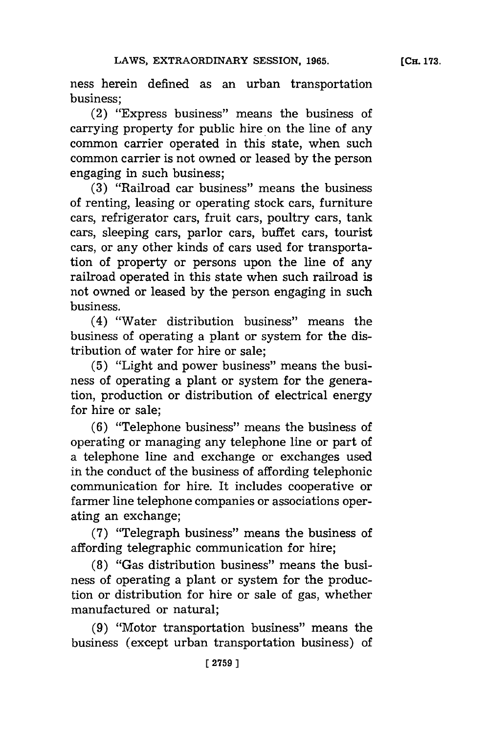ness herein defined as an urban transportation business;

(2) "Express business" means the business of carrying property for public hire on the line of any common carrier operated in this state, when such common carrier is not owned or leased **by** the person engaging in such business;

**(3)** "Railroad car business" means the business of renting, leasing or operating stock cars, furniture cars, refrigerator cars, fruit cars, poultry cars, tank cars, sleeping cars, parlor cars, buffet cars, tourist cars, or any other kinds of cars used for transportation of property or persons upon the line of any railroad operated in this state when such railroad is not owned or leased **by** the person engaging in such business.

(4) "Water distribution business"' means the business of operating a plant or system for the distribution of water for hire or sale:

**(5)** "Light and power business" means the business of operating a plant or system for the generation, production or distribution of electrical energy for hire or sale;

**(6)** "Telephone business" means the business of operating or managing any telephone line or part of a telephone line and exchange or exchanges used in the conduct of the business of affording telephonic communication for hire. It includes cooperative or farmer line telephone companies or associations operating an exchange;

**(7)** "Telegraph business" means the business of affording telegraphic communication for hire;

**(8)** "Gas distribution business" means the business of operating a plant or system for the production or distribution for hire or sale of gas, whether manufactured or natural;

**(9)** "Motor transportation business" means the business (except urban transportation business) of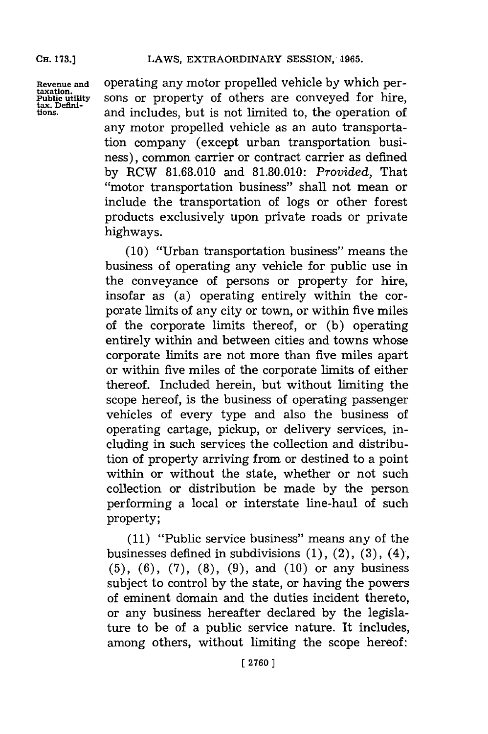**Revenue and** operating any motor propelled vehicle **by** which pertaxation.<br>**Public utility** sons or property of others are conveyed for hire,<br>tions, and includes but is not limited to the operation of and includes, but is not limited to, the operation of any motor propelled vehicle as an auto transportation company (except urban transportation business), common carrier or contract carrier as defined **by** RCW **81.68.010** and **81.80.010:** *Provided,* That "motor transportation business" shall not mean or include the transportation of logs or other forest products exclusively upon private roads or private highways.

> **(10)** "Urban transportation business" means the business of operating any vehicle for public use in the conveyance of persons or property for hire, insofar as (a) operating entirely within the corporate limits of any city or town, or within five miles of the corporate limits thereof, or **(b)** operating entirely within and between cities and towns whose corporate limits are not more than five miles apart or within five miles of the corporate limits of either thereof. Included herein, but without limiting the scope hereof, is the business of operating passenger vehicles of every type and also the business of operating cartage, pickup, or delivery services, including in such services the collection and distribution of property arriving from or destined to a point within or without the state, whether or not such collection or distribution be made **by** the person performing a local or interstate line-haul of such property;

> **(11)** "Public service business" means any of the businesses defined in subdivisions **(1),** (2), **(3),** (4), **(5), (6), (7), (8), (9),** and **(10)** or any business subject to control **by** the state, or having the powers of eminent domain and the duties incident thereto, or any business hereafter declared **by** the legislature to be of a public service nature. It includes, among others, without limiting the scope hereof: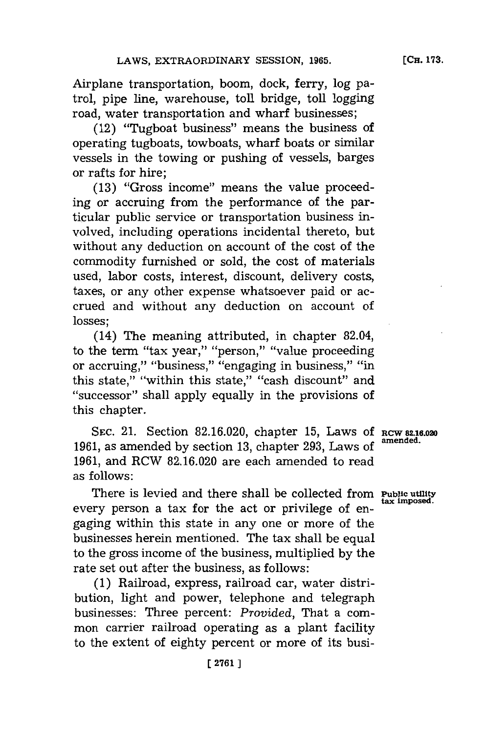Airplane transportation, boom, dock, ferry, log patrol, pipe line, warehouse, toll bridge, toll logging road, water transportation and wharf businesses;

(12) "Tugboat business" means the business of operating tugboats, towboats, wharf boats or similar vessels in the towing or pushing of vessels, barges or rafts for hire;

**(13)** "Gross income" means the value proceeding or accruing from the performance of the particular public service or transportation business involved, including operations incidental thereto, but without any deduction on account of the cost of the commodity furnished or sold, the cost of materials used, labor costs, interest, discount, delivery costs, taxes, or any other expense whatsoever paid or accrued and without any deduction on account of losses;

(14) The meaning attributed, in chapter 82.04, to the term "tax year," "person," "value proceeding or accruing," "business," "engaging in business," "in this state," "within this state," "cash discount" and ''successor'' shall apply equally in the provisions of this chapter.

**SEC.** 21. Section **82.16.020,** chapter **15,** Laws **Of RCW 82.16.020 1961, as amended by section 13, chapter 293, Laws of 1961,** and RCW **82.16.020** are each amended to read as follows:

There is levied and there shall be collected from **Public utility** every person a tax for the act or privilege of engaging within this state in any one or more of the businesses herein mentioned. The tax shall be equal to the gross income of the business, multiplied **by** the rate set out after the business, as follows:

**(1)** Railroad, express, railroad car, water distribution, light and power, telephone and telegraph businesses: Three percent: *Provided,* That a common carrier railroad operating as a plant facility to the extent of eighty percent or more of its busi-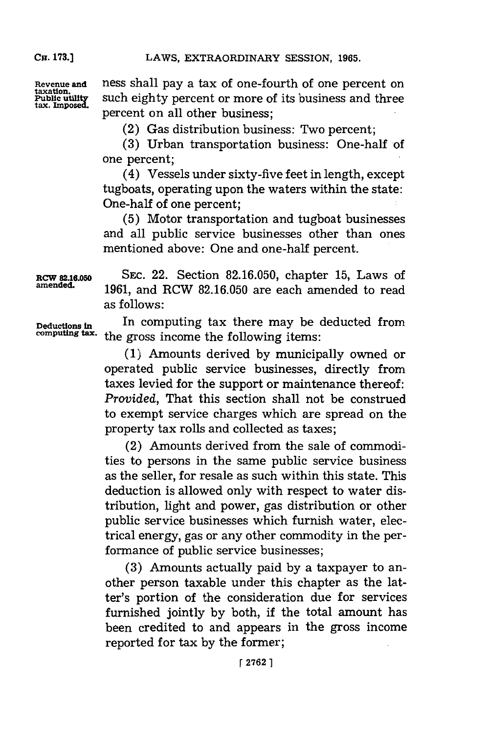taxation.<br>Public utility<br>tax. Imposed.

**CH. 173.]**

Revenue and ness shall pay a tax of one-fourth of one percent on such eighty percent or more of its business and three percent on all other business:

(2) Gas distribution business: Two percent;

**(3)** Urban transportation business: One-half of one percent;

(4) Vessels under sixty-five feet in length, except tugboats, operating upon the waters within the state: One-half of one percent;

**(5)** Motor transportation and tugboat businesses and all public service businesses other than ones mentioned above: One and one-half percent.

**RCW 82.16.050 SEC.** 22. Section **82.16.050,** chapter **15,** Laws of **amended. 1961,** and RCW **82.16.050** are each amended to read as follows:

**Deductlonsin** In computing tax there may be deducted from the gross income the following items:

> **(1)** Amounts derived **by** municipally owned or operated public service businesses, directly from taxes levied for the support or maintenance thereof: *Provided,* That this section shall not be construed to exempt service charges which are spread on the property tax rolls and collected as taxes;

> (2) Amounts derived from the sale of commodities to persons in the same public service business as the seller, for resale as such within this state. This deduction is allowed only with respect to water distribution, light and power, gas distribution or other public service businesses which furnish water, electrical energy, gas or any other commodity in the performance of public service businesses;

> **(3)** Amounts actually paid **by** a taxpayer to another person taxable under this chapter as the latter's portion of the consideration due for services furnished jointly **by** both, if the total amount has been credited to and appears in the gross income reported for tax **by** the former;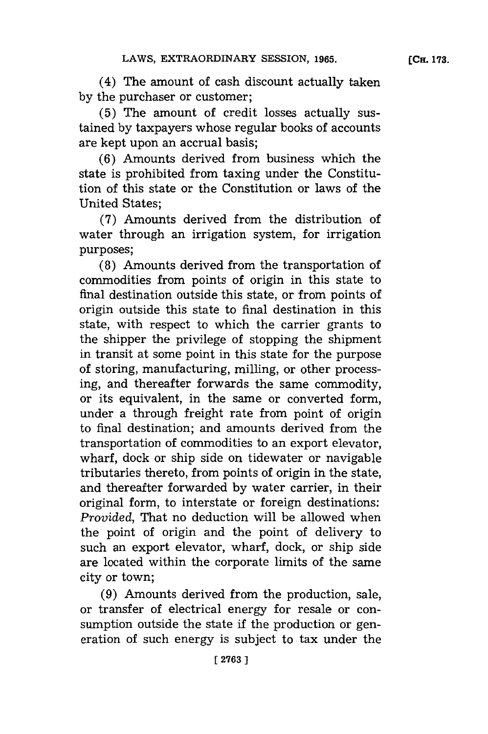(4) The amount of cash discount actually taken **by** the purchaser or customer;

**(5)** The amount of credit losses actually sustained **by** taxpayers whose regular books of accounts are kept upon an accrual basis;

**(6)** Amounts derived from business which the state is prohibited from taxing under the Constitution of this state or the Constitution or laws of the United States;

**(7)** Amounts derived from the distribution of water through an irrigation system, for irrigation purposes;

**(8)** Amounts derived from the transportation of commodities from points of origin in this state to final destination outside this state, or from points of origin outside this state to final destination in this state, with respect to which the carrier grants to the shipper the privilege of stopping the shipment in transit at some point in this state for the purpose of storing, manufacturing, milling, or other processing, and thereafter forwards the same commodity, or its equivalent, in the same or converted form, under a through freight rate from point of origin to final destination; and amounts derived from the transportation of commodities to an export elevator, wharf, dock or ship side on tidewater or navigable tributaries thereto, from points of origin in the state, and thereafter forwarded **by** water carrier, in their original form, to interstate or foreign destinations: *Provided,* That no deduction will be allowed when the point of origin and the point of delivery to such an export elevator, wharf, dock, or ship side are located within the corporate limits of the same city or town;

**(9)** Amounts derived from the production, sale, or transfer of electrical energy for resale or consumption outside the state if the production or generation of such energy is subject to tax under the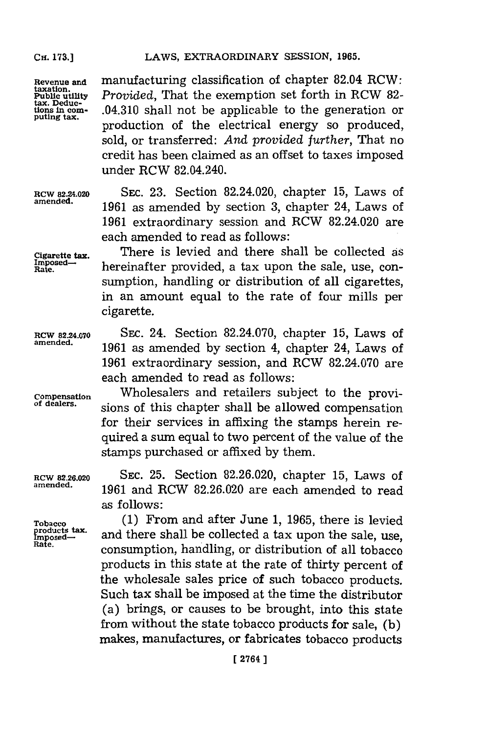**CH. 173.]**

**Revenue and taxation. Public utility tax. Deductions in com- puting tax.** manufacturing classification of chapter 82.04 RCW: *Provided,* That the exemption set forth in RCW **82-** .04.310 shall not be applicable to the generation or production of the electrical energy so produced, sold, or transferred: *And provided further,* That no credit has been claimed as an offset to taxes imposed under RCW 82.04.240.

**RCW 82.24.020 SEC. 23.** Section 82.24.020, chapter **15,** Laws of 1961 as amended by section 3, chapter 24, Laws of **1961** extraordinary session and RCW 82.24.020 are each amended to read as follows:

**cigarette** tax There is levied and there shall be collected as  $R_{\text{rate}}^{\text{Imposed}}$  hereinafter provided, a tax upon the sale, use, consumption, handling or distribution of all cigarettes, in an amount equal to the rate of four mills per cigarette.

**RCW 82.2A.070 SEC.** 24. Section **82.24.070,** chapter **15,** Laws of 1961 as amended by section 4, chapter 24, Laws of **1961** extraordinary session, and RCW **82.24.070** are each amended to read as follows:

**Compensation** Wholesalers and retailers subject to the provisions of this chapter shall be allowed compensation for their services in affixing the stamps herein required a sum equal to two percent of the value of the stamps purchased or affixed **by** them.

**amended. 1961** and RCW **82.26.020 are** each amended **to** read as follows:

Tobacco (1) From and after June 1, 1965, there is levied<br> **products tax.** and there shall be collected a tax upon the sale, use,<br> **Rafe.** consumption, handling, or distribution of all tobacco products in this state at the rate of thirty percent of the wholesale sales price of such tobacco products. Such tax shall be imposed at the time the distributor (a) brings, or causes to be brought, into this state from without the state tobacco products for sale, **(b)** makes, manufactures, or fabricates tobacco products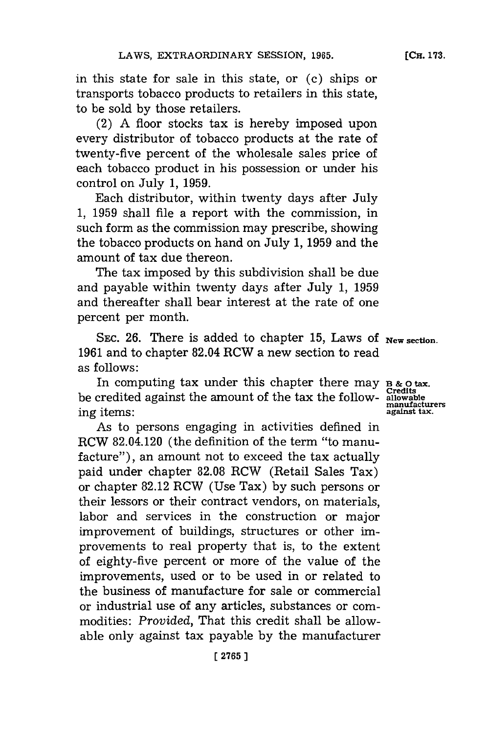**[CH. 173.**

in this state for sale in this state, or **(c)** ships or transports tobacco products to retailers in this state, to be sold **by** those retailers.

(2) **A** floor stocks tax is hereby imposed upon every distributor of tobacco products at the rate of twenty-five percent of the wholesale sales price of each tobacco product in his possession or under his control on July **1, 1959.**

Each distributor, within twenty days after July **1, 1959** shall file a report with the commission, in such form as the commission may prescribe, showing the tobacco products on hand on July **1, 1959** and the amount of tax due thereon.

The tax imposed **by** this subdivision shall be due and payable within twenty days after July **1, 1959** and thereafter shall bear interest at the rate of one percent per month.

**SEC. 26.** There is added to chapter **15,** Laws of **New section. 1961** and to chapter 82.04 RCW a new section to read as follows:

In computing tax under this chapter there may  $B \& o \text{ tax.}$ be credited against the amount of the tax the follow- allowable be creatived against the different of the tail the rone of manufacturers<br>ing items:<br>against tax.

As to persons engaging in activities defined in RCW 82.04.120 (the definition of the term "to manufacture"), an amount not to exceed the tax actually paid under chapter **82.08** RCW (Retail Sales Tax) or chapter **82.12** RCW (Use Tax) **by** such persons or their lessors or their contract vendors, on materials, labor and services in the construction or major improvement of buildings, structures or other improvements to real property that is, to the extent of eighty-five percent or more of the value of the improvements, used or to be used in or related to the business of manufacture for sale or commercial or industrial use of any articles, substances or commodities: *Provided,* That this credit shall be allowable only against tax payable **by** the manufacturer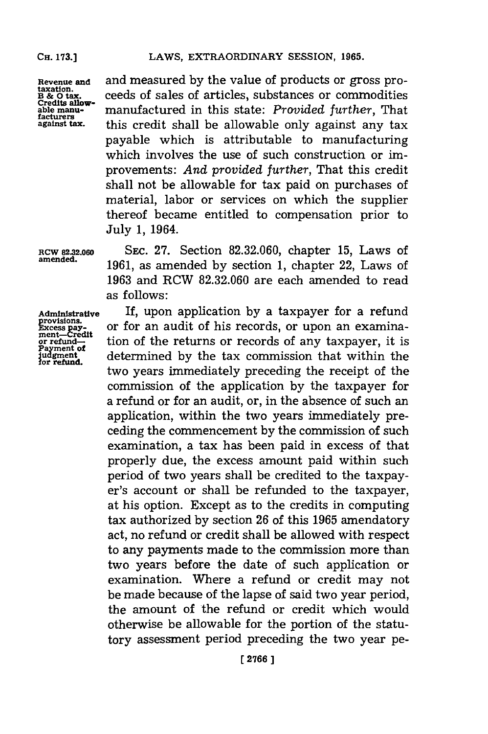**Revenue and taxation. B & 0 tax. Credits allowable manu- facturers against tax.**

and measured **by** the value of products or gross proceeds of sales of articles, substances or commodities manufactured in this state: *Provided further,* That this credit shall be allowable only against any tax payable which is attributable to manufacturing which involves the use of such construction or improvements: *And provided further,* That this credit shall not be allowable for tax paid on purchases of material, labor or services on which the supplier thereof became entitled to compensation prior to July **1,** 1964.

**RCW 82.32.060 amended.**

**SEC. 27.** Section **82.32.060,** chapter **15,** Laws of **1961,** as amended **by** section **1,** chapter 22, Laws of **1963** and RCW **82.32.060** are each amended to read as follows:

**Administrative munified average provisions.**<br>
Excess payment—Credit<br>
or refund— Payment of<br>judgment for refund.

If, upon application **by** a taxpayer for a refund or for an audit of his records, or upon an examination of the returns or records of any taxpayer, it is determined **by** the tax commission that within the two years immediately preceding the receipt of the commission of the application **by** the taxpayer for a refund or for an audit, or, in the absence of such an application, within the two years immediately preceding the commencement **by** the commission of such examination, a tax has been paid in excess of that properly due, the excess amount paid within such period of two years shall be credited to the taxpayer's account or shall be refunded to the taxpayer, at his option. Except as to the credits in computing tax authorized **by** section **26** of this **1965** amendatory act, no refund or credit shall be allowed with respect to any payments made to the commission more than two years before the date of such application or examination. Where a refund or credit may not be made because of the lapse of said two year period, the amount of the refund or credit which would otherwise be allowable for the portion of the statutory assessment period preceding the two year pe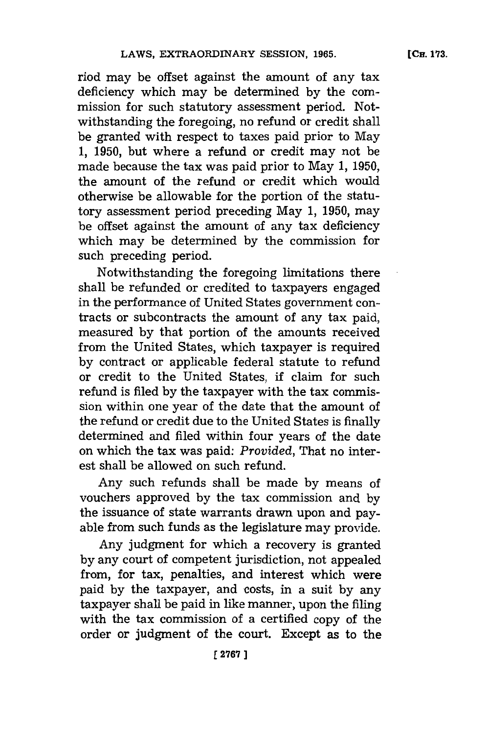niod may be offset against the amount of any tax deficiency which may be determined **by** the commission for such statutory assessment period. Notwithstanding the foregoing, no refund or credit shall be granted with respect to taxes paid prior to May **1, 1950,** but where a refund or credit may not be made because the tax was paid prior to May **1, 1950,** the amount of the refund or credit which would otherwise be allowable for the portion of the statutory assessment period preceding May **1, 1950,** may be offset against the amount of any tax deficiency which may be determined **by** the commission for such preceding period.

Notwithstanding the foregoing limitations there shall be refunded or credited to taxpayers engaged in the performance of United States government contracts or subcontracts the amount of any tax paid, measured **by** that portion of the amounts received from the United States, which taxpayer is required **by** contract or applicable federal statute to refund or credit to the United States, if claim for such refund is filed **by** the taxpayer with the tax commission within one year of the date that the amount of the refund or credit due to the United States is finally determined and filed within four years of the date on which the tax was paid: *Provided,* That no interest shall be allowed on such refund.

Any such refunds shall be made **by** means of vouchers approved **by** the tax commission and **by** the issuance of state warrants drawn upon and payable from such funds as the legislature may provide.

Any judgment for which a recovery is granted **by** any court of competent jurisdiction, not appealed from, for tax, penalties, and interest which were paid **by** the taxpayer, and costs, in a suit **by** any taxpayer shall be paid in like manner, upon the filing with the tax commission of a certified copy of the order or judgment of the court. Except as to the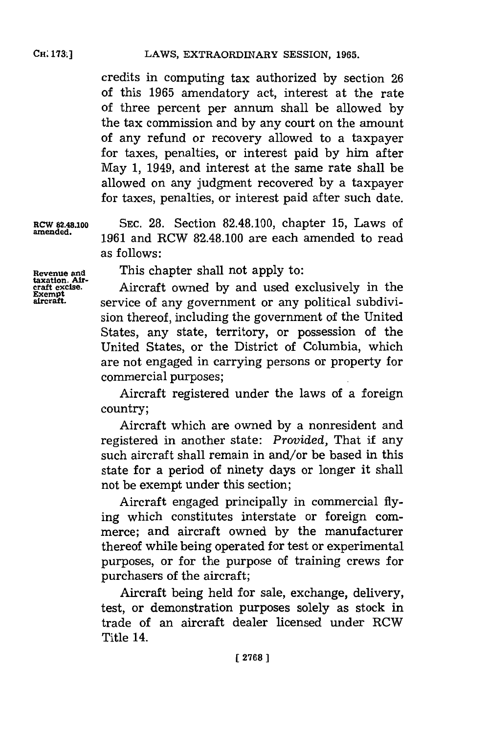credits in computing tax authorized **by** section **26** of this **1965** amendatory act, interest at the rate of three percent per annum shall be allowed **by** the tax commission and **by** any court on the amount of any refund or recovery allowed to a taxpayer for taxes, penalties, or interest paid by him after May **1,** 1949, and interest at the same rate shall be allowed on any judgment recovered **by** a taxpayer for taxes, penalties, or interest paid after such date.

**RCW 82.48.100 SEC. 28.** Section **82.48.100,** chapter **15,** Laws of **amended. 1961** and RCW **82.48.100** are each amended to read as follows:

**taxation. Air-**

**Revenue and** This chapter shall not apply to:

**craft excise.** Aircraft owned **by** and used exclusively in the **aircaft,** service of any government or any political subdivision thereof, including the government of the United States, any state, territory, or possession of the United States, or the District of Columbia, which are not engaged in carrying persons or property for commercial purposes;

> Aircraft registered under the laws of a foreign country;

> Aircraft which are owned **by** a nonresident and registered in another state: *Provided,* That if any such aircraft shall remain in and/or be based in this state for a period of ninety days or longer it shall not be exempt under this section;

> Aircraft engaged principally in commercial flying which constitutes interstate or foreign commerce; and aircraft owned **by** the manufacturer thereof while being operated for test or experimental purposes, or for the purpose of training crews for purchasers of the aircraft;

> Aircraft being held for sale, exchange, delivery, test, or demonstration purposes solely as stock in trade of an aircraft dealer licensed under RCW Title 14.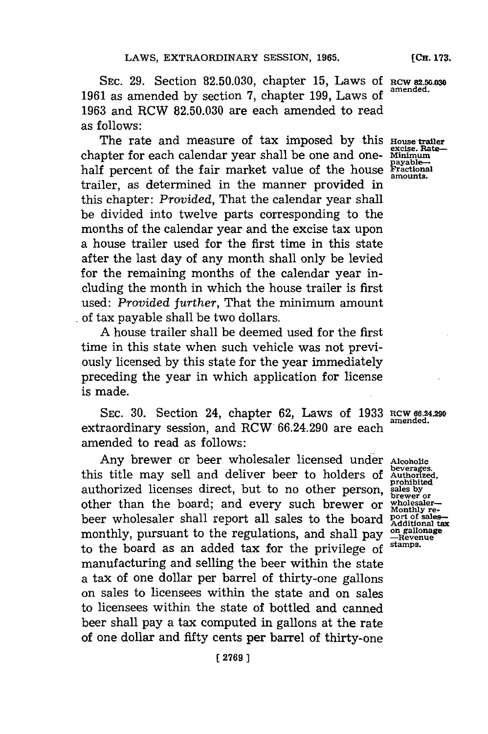**SEC. 29.** Section **82.50.030,** chapter **15,** Laws **Of RCW 82.50 030 1961** as amended **by** section **7,** chapter **199,** Laws **of amended. 1963** and RCW **82.50.030** are each amended to read as follows:

The rate and measure of tax imposed by this **House trailer**<br>inter for each calendar year shall be one and one- Minimum chapter for each calendar year shall be one and one- Minimum<br>half percent of the fair market value of the house **Fractional** half percent of the fair market value of the house **Fraction** trailer, as determined in the manner provided in this chapter: *Provided,* That the calendar year shall be divided into twelve parts corresponding to the months of the calendar year and the excise tax upon a house trailer used for the first time in this state after the last day of any month shall only be levied for the remaining months of the calendar year including the month in which the house trailer is first used: *Provided further,* That the minimum amount of tax payable shall be two dollars.

**A** house trailer shall be deemed used for the first time in this state when such vehicle was not previously licensed **by** this state **for** the year immediately preceding the year in which application for license is made.

**SEC. 30.** Section 24, chapter **62,** Laws of **1933** Rcw **66.24.290** extraordinary session, and  $RCW$   $66.24.290$  are each amended to read as follows:

Any brewer or beer wholesaler licensed under this title may sell and deliver beer to holders of authorized licenses direct, but to no other person, other than the board; and every such brewer or beer wholesaler shall report all sales to the board monthly, pursuant to the regulations, and shall pay to the board as an added tax for the privilege of manufacturing and selling the beer within the state a tax of one dollar per barrel of thirty-one gallons on sales to licensees within the state and on sales to licensees within the state of bottled and canned beer shall pay a tax computed in gallons at the rate of one dollar and fifty cents per barrel of thirty-one

**Alcoholic beverages. Authorized, prohibited sales by brewer or wholesaler-Monthly re- port of sales-Additional tax on galonage stamps.**

**[ 2769)1**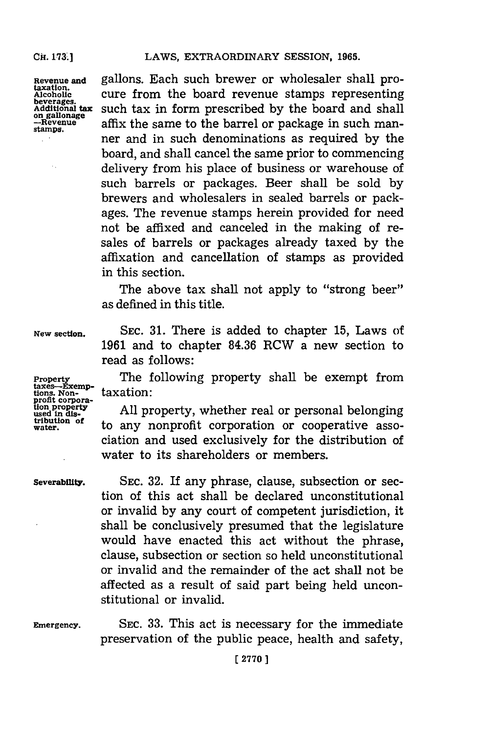Cil. **173:1**

**Revenue and taxation. Alcohollc beverag. Additional tax** on gallonage **stamps.**

 $\bar{z}$ 

gallons. Each such brewer or wholesaler shall procure from the board revenue stamps representing such tax in form prescribed **by** the board and shall affix the same to the barrel or package in such manner and in such denominations as required **by** the board, and shall cancel the same prior to commencing delivery from his place of business or warehouse of such barrels or packages. Beer shall be sold **by** brewers and wholesalers in sealed barrels or packages. The revenue stamps herein provided for need not be affixed and canceled in the making of resales of barrels or packages already taxed **by** the affixation and cancellation of stamps as provided in this section.

The above tax shall not apply to "strong beer" as defined in this title.

**New section.**

**Property**

**SEC. 31.** There is added to chapter **15,** Laws of **1961** and to chapter **84.36** RCW a new section to read as follows:

The following property shall be exempt from taxation: taxes-Exemp-<br>tions. Non-<br>profit corpora-

**All** property, whether real or personal belonging to any nonprofit corporation or cooperative association and used exclusively for the distribution of water to its shareholders or members.

#### **Severability.**

**profit corpora- tion propet used in diy tribution of water.**

> **SEC. 32.** If any phrase, clause, subsection or section of this act shall be declared unconstitutional or invalid **by** any court of competent jurisdiction, it shall be conclusively presumed that the legislature would have enacted this act without the phrase, clause, subsection or section so held unconstitutional or invalid and the remainder of the act shall not be affected as a result of said part being held unconstitutional or invalid.

**Emergency.**

**SEC. 33.** This act is necessary for the immediate preservation of the public peace, health and safety,